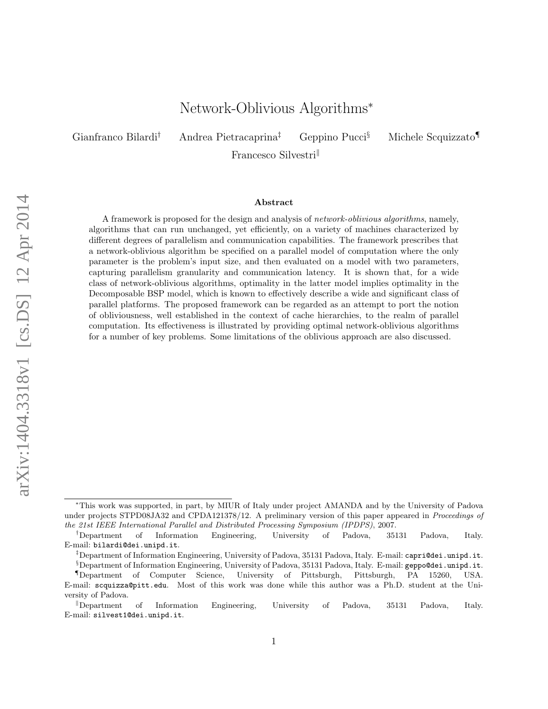# Network-Oblivious Algorithms<sup>∗</sup>

Gianfranco Bilardi<sup>†</sup> Andrea Pietracaprina<sup>‡</sup> Geppino Pucci<sup>§</sup> Michele Scquizzato<sup>¶</sup>

Francesco Silvestri

#### Abstract

A framework is proposed for the design and analysis of network-oblivious algorithms, namely, algorithms that can run unchanged, yet efficiently, on a variety of machines characterized by different degrees of parallelism and communication capabilities. The framework prescribes that a network-oblivious algorithm be specified on a parallel model of computation where the only parameter is the problem's input size, and then evaluated on a model with two parameters, capturing parallelism granularity and communication latency. It is shown that, for a wide class of network-oblivious algorithms, optimality in the latter model implies optimality in the Decomposable BSP model, which is known to effectively describe a wide and significant class of parallel platforms. The proposed framework can be regarded as an attempt to port the notion of obliviousness, well established in the context of cache hierarchies, to the realm of parallel computation. Its effectiveness is illustrated by providing optimal network-oblivious algorithms for a number of key problems. Some limitations of the oblivious approach are also discussed.

<sup>∗</sup>This work was supported, in part, by MIUR of Italy under project AMANDA and by the University of Padova under projects STPD08JA32 and CPDA121378/12. A preliminary version of this paper appeared in Proceedings of the 21st IEEE International Parallel and Distributed Processing Symposium (IPDPS), 2007.

<sup>†</sup>Department of Information Engineering, University of Padova, 35131 Padova, Italy. E-mail: bilardi@dei.unipd.it.

<sup>‡</sup>Department of Information Engineering, University of Padova, 35131 Padova, Italy. E-mail: capri@dei.unipd.it.

<sup>§</sup>Department of Information Engineering, University of Padova, 35131 Padova, Italy. E-mail: geppo@dei.unipd.it. ¶Department of Computer Science, University of Pittsburgh, Pittsburgh, PA 15260, USA.

E-mail: scquizza@pitt.edu. Most of this work was done while this author was a Ph.D. student at the University of Padova.

<sup>k</sup>Department of Information Engineering, University of Padova, 35131 Padova, Italy. E-mail: silvest1@dei.unipd.it.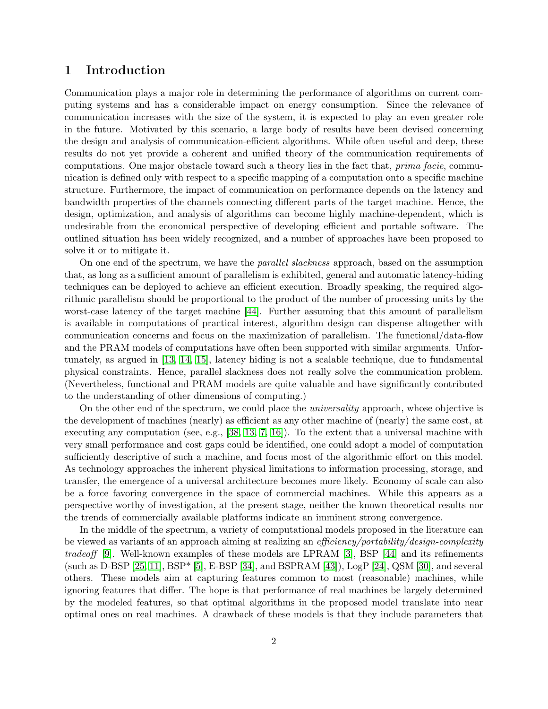# 1 Introduction

Communication plays a major role in determining the performance of algorithms on current computing systems and has a considerable impact on energy consumption. Since the relevance of communication increases with the size of the system, it is expected to play an even greater role in the future. Motivated by this scenario, a large body of results have been devised concerning the design and analysis of communication-efficient algorithms. While often useful and deep, these results do not yet provide a coherent and unified theory of the communication requirements of computations. One major obstacle toward such a theory lies in the fact that, prima facie, communication is defined only with respect to a specific mapping of a computation onto a specific machine structure. Furthermore, the impact of communication on performance depends on the latency and bandwidth properties of the channels connecting different parts of the target machine. Hence, the design, optimization, and analysis of algorithms can become highly machine-dependent, which is undesirable from the economical perspective of developing efficient and portable software. The outlined situation has been widely recognized, and a number of approaches have been proposed to solve it or to mitigate it.

On one end of the spectrum, we have the parallel slackness approach, based on the assumption that, as long as a sufficient amount of parallelism is exhibited, general and automatic latency-hiding techniques can be deployed to achieve an efficient execution. Broadly speaking, the required algorithmic parallelism should be proportional to the product of the number of processing units by the worst-case latency of the target machine [\[44\]](#page-33-0). Further assuming that this amount of parallelism is available in computations of practical interest, algorithm design can dispense altogether with communication concerns and focus on the maximization of parallelism. The functional/data-flow and the PRAM models of computations have often been supported with similar arguments. Unfortunately, as argued in [\[13,](#page-30-0) [14,](#page-31-0) [15\]](#page-31-1), latency hiding is not a scalable technique, due to fundamental physical constraints. Hence, parallel slackness does not really solve the communication problem. (Nevertheless, functional and PRAM models are quite valuable and have significantly contributed to the understanding of other dimensions of computing.)

On the other end of the spectrum, we could place the *universality* approach, whose objective is the development of machines (nearly) as efficient as any other machine of (nearly) the same cost, at executing any computation (see, e.g., [\[38,](#page-32-0) [13,](#page-30-0) [7,](#page-30-1) [16\]](#page-31-2)). To the extent that a universal machine with very small performance and cost gaps could be identified, one could adopt a model of computation sufficiently descriptive of such a machine, and focus most of the algorithmic effort on this model. As technology approaches the inherent physical limitations to information processing, storage, and transfer, the emergence of a universal architecture becomes more likely. Economy of scale can also be a force favoring convergence in the space of commercial machines. While this appears as a perspective worthy of investigation, at the present stage, neither the known theoretical results nor the trends of commercially available platforms indicate an imminent strong convergence.

In the middle of the spectrum, a variety of computational models proposed in the literature can be viewed as variants of an approach aiming at realizing an efficiency/portability/design-complexity tradeoff [\[9\]](#page-30-2). Well-known examples of these models are LPRAM [\[3\]](#page-30-3), BSP [\[44\]](#page-33-0) and its refinements (such as D-BSP [\[25,](#page-31-3) [11\]](#page-30-4), BSP\* [\[5\]](#page-30-5), E-BSP [\[34\]](#page-32-1), and BSPRAM [\[43\]](#page-33-1)), LogP [\[24\]](#page-31-4), QSM [\[30\]](#page-32-2), and several others. These models aim at capturing features common to most (reasonable) machines, while ignoring features that differ. The hope is that performance of real machines be largely determined by the modeled features, so that optimal algorithms in the proposed model translate into near optimal ones on real machines. A drawback of these models is that they include parameters that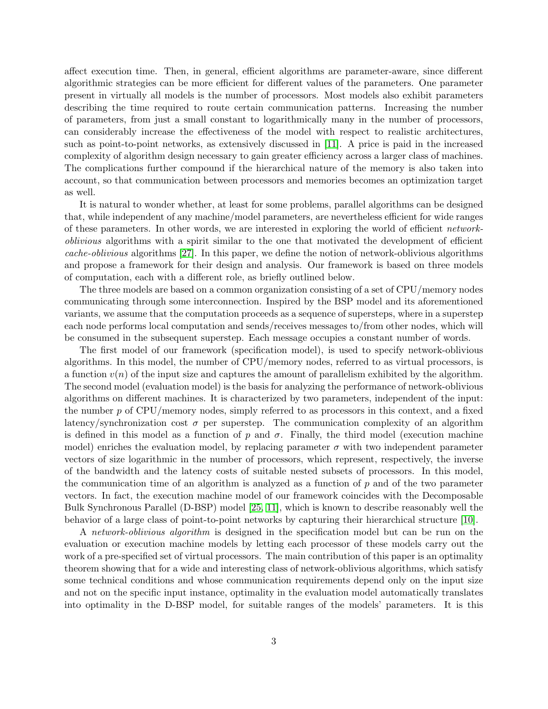affect execution time. Then, in general, efficient algorithms are parameter-aware, since different algorithmic strategies can be more efficient for different values of the parameters. One parameter present in virtually all models is the number of processors. Most models also exhibit parameters describing the time required to route certain communication patterns. Increasing the number of parameters, from just a small constant to logarithmically many in the number of processors, can considerably increase the effectiveness of the model with respect to realistic architectures, such as point-to-point networks, as extensively discussed in [\[11\]](#page-30-4). A price is paid in the increased complexity of algorithm design necessary to gain greater efficiency across a larger class of machines. The complications further compound if the hierarchical nature of the memory is also taken into account, so that communication between processors and memories becomes an optimization target as well.

It is natural to wonder whether, at least for some problems, parallel algorithms can be designed that, while independent of any machine/model parameters, are nevertheless efficient for wide ranges of these parameters. In other words, we are interested in exploring the world of efficient networkoblivious algorithms with a spirit similar to the one that motivated the development of efficient cache-oblivious algorithms [\[27\]](#page-32-3). In this paper, we define the notion of network-oblivious algorithms and propose a framework for their design and analysis. Our framework is based on three models of computation, each with a different role, as briefly outlined below.

The three models are based on a common organization consisting of a set of CPU/memory nodes communicating through some interconnection. Inspired by the BSP model and its aforementioned variants, we assume that the computation proceeds as a sequence of supersteps, where in a superstep each node performs local computation and sends/receives messages to/from other nodes, which will be consumed in the subsequent superstep. Each message occupies a constant number of words.

The first model of our framework (specification model), is used to specify network-oblivious algorithms. In this model, the number of CPU/memory nodes, referred to as virtual processors, is a function  $v(n)$  of the input size and captures the amount of parallelism exhibited by the algorithm. The second model (evaluation model) is the basis for analyzing the performance of network-oblivious algorithms on different machines. It is characterized by two parameters, independent of the input: the number  $p$  of CPU/memory nodes, simply referred to as processors in this context, and a fixed latency/synchronization cost  $\sigma$  per superstep. The communication complexity of an algorithm is defined in this model as a function of p and  $\sigma$ . Finally, the third model (execution machine model) enriches the evaluation model, by replacing parameter  $\sigma$  with two independent parameter vectors of size logarithmic in the number of processors, which represent, respectively, the inverse of the bandwidth and the latency costs of suitable nested subsets of processors. In this model, the communication time of an algorithm is analyzed as a function of  $p$  and of the two parameter vectors. In fact, the execution machine model of our framework coincides with the Decomposable Bulk Synchronous Parallel (D-BSP) model [\[25,](#page-31-3) [11\]](#page-30-4), which is known to describe reasonably well the behavior of a large class of point-to-point networks by capturing their hierarchical structure [\[10\]](#page-30-6).

A network-oblivious algorithm is designed in the specification model but can be run on the evaluation or execution machine models by letting each processor of these models carry out the work of a pre-specified set of virtual processors. The main contribution of this paper is an optimality theorem showing that for a wide and interesting class of network-oblivious algorithms, which satisfy some technical conditions and whose communication requirements depend only on the input size and not on the specific input instance, optimality in the evaluation model automatically translates into optimality in the D-BSP model, for suitable ranges of the models' parameters. It is this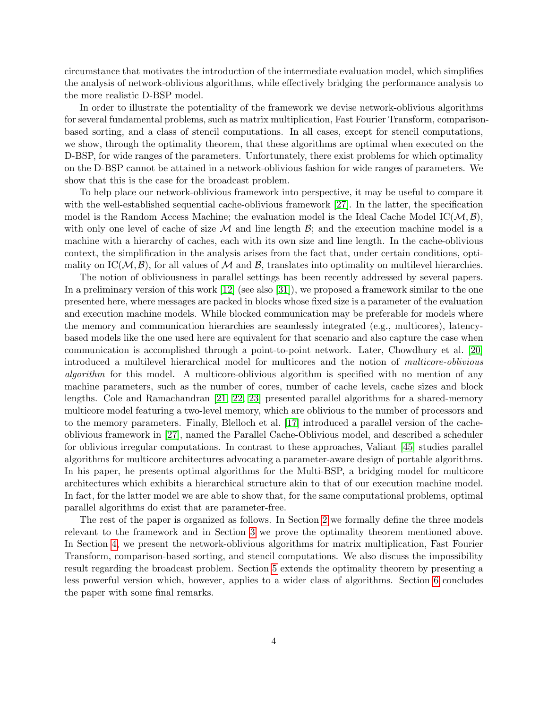circumstance that motivates the introduction of the intermediate evaluation model, which simplifies the analysis of network-oblivious algorithms, while effectively bridging the performance analysis to the more realistic D-BSP model.

In order to illustrate the potentiality of the framework we devise network-oblivious algorithms for several fundamental problems, such as matrix multiplication, Fast Fourier Transform, comparisonbased sorting, and a class of stencil computations. In all cases, except for stencil computations, we show, through the optimality theorem, that these algorithms are optimal when executed on the D-BSP, for wide ranges of the parameters. Unfortunately, there exist problems for which optimality on the D-BSP cannot be attained in a network-oblivious fashion for wide ranges of parameters. We show that this is the case for the broadcast problem.

To help place our network-oblivious framework into perspective, it may be useful to compare it with the well-established sequential cache-oblivious framework [\[27\]](#page-32-3). In the latter, the specification model is the Random Access Machine; the evaluation model is the Ideal Cache Model  $\mathrm{IC}(\mathcal{M}, \mathcal{B})$ , with only one level of cache of size  $\mathcal M$  and line length  $\mathcal B$ ; and the execution machine model is a machine with a hierarchy of caches, each with its own size and line length. In the cache-oblivious context, the simplification in the analysis arises from the fact that, under certain conditions, optimality on  $\text{IC}(\mathcal{M}, \mathcal{B})$ , for all values of M and  $\mathcal{B}$ , translates into optimality on multilevel hierarchies.

The notion of obliviousness in parallel settings has been recently addressed by several papers. In a preliminary version of this work [\[12\]](#page-30-7) (see also [\[31\]](#page-32-4)), we proposed a framework similar to the one presented here, where messages are packed in blocks whose fixed size is a parameter of the evaluation and execution machine models. While blocked communication may be preferable for models where the memory and communication hierarchies are seamlessly integrated (e.g., multicores), latencybased models like the one used here are equivalent for that scenario and also capture the case when communication is accomplished through a point-to-point network. Later, Chowdhury et al. [\[20\]](#page-31-5) introduced a multilevel hierarchical model for multicores and the notion of multicore-oblivious algorithm for this model. A multicore-oblivious algorithm is specified with no mention of any machine parameters, such as the number of cores, number of cache levels, cache sizes and block lengths. Cole and Ramachandran [\[21,](#page-31-6) [22,](#page-31-7) [23\]](#page-31-8) presented parallel algorithms for a shared-memory multicore model featuring a two-level memory, which are oblivious to the number of processors and to the memory parameters. Finally, Blelloch et al. [\[17\]](#page-31-9) introduced a parallel version of the cacheoblivious framework in [\[27\]](#page-32-3), named the Parallel Cache-Oblivious model, and described a scheduler for oblivious irregular computations. In contrast to these approaches, Valiant [\[45\]](#page-33-2) studies parallel algorithms for multicore architectures advocating a parameter-aware design of portable algorithms. In his paper, he presents optimal algorithms for the Multi-BSP, a bridging model for multicore architectures which exhibits a hierarchical structure akin to that of our execution machine model. In fact, for the latter model we are able to show that, for the same computational problems, optimal parallel algorithms do exist that are parameter-free.

The rest of the paper is organized as follows. In Section [2](#page-4-0) we formally define the three models relevant to the framework and in Section [3](#page-6-0) we prove the optimality theorem mentioned above. In Section [4,](#page-11-0) we present the network-oblivious algorithms for matrix multiplication, Fast Fourier Transform, comparison-based sorting, and stencil computations. We also discuss the impossibility result regarding the broadcast problem. Section [5](#page-25-0) extends the optimality theorem by presenting a less powerful version which, however, applies to a wider class of algorithms. Section [6](#page-28-0) concludes the paper with some final remarks.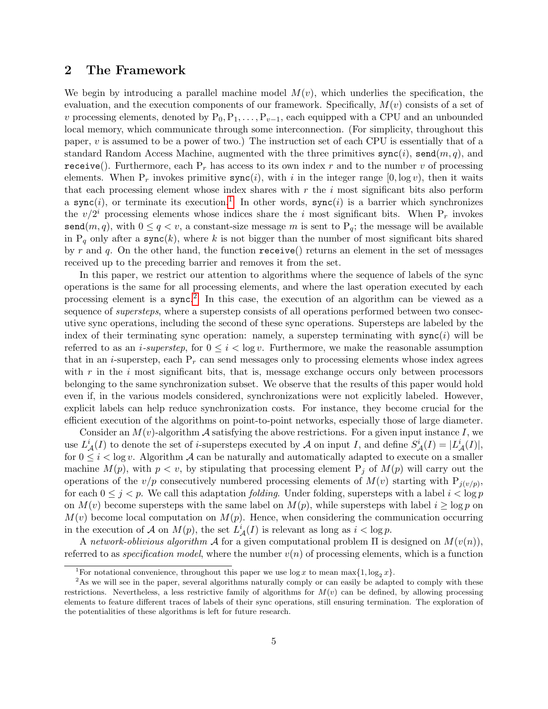## <span id="page-4-0"></span>2 The Framework

We begin by introducing a parallel machine model  $M(v)$ , which underlies the specification, the evaluation, and the execution components of our framework. Specifically,  $M(v)$  consists of a set of v processing elements, denoted by  $P_0, P_1, \ldots, P_{v-1}$ , each equipped with a CPU and an unbounded local memory, which communicate through some interconnection. (For simplicity, throughout this paper, v is assumed to be a power of two.) The instruction set of each CPU is essentially that of a standard Random Access Machine, augmented with the three primitives  $\text{sync}(i)$ , send $(m, q)$ , and receive(). Furthermore, each  $P_r$  has access to its own index r and to the number v of processing elements. When  $P_r$  invokes primitive sync(i), with i in the integer range  $[0, \log v)$ , then it waits that each processing element whose index shares with  $r$  the  $i$  most significant bits also perform a sync $(i)$ , or terminate its execution.<sup>[1](#page-4-1)</sup> In other words, sync $(i)$  is a barrier which synchronizes the  $v/2^i$  processing elements whose indices share the i most significant bits. When  $P_r$  invokes send $(m, q)$ , with  $0 \le q < v$ , a constant-size message m is sent to  $P_q$ ; the message will be available in  $P_q$  only after a sync(k), where k is not bigger than the number of most significant bits shared by r and q. On the other hand, the function  $\text{receive}()$  returns an element in the set of messages received up to the preceding barrier and removes it from the set.

In this paper, we restrict our attention to algorithms where the sequence of labels of the sync operations is the same for all processing elements, and where the last operation executed by each processing element is a sync. [2](#page-4-2) In this case, the execution of an algorithm can be viewed as a sequence of *supersteps*, where a superstep consists of all operations performed between two consecutive sync operations, including the second of these sync operations. Supersteps are labeled by the index of their terminating sync operation: namely, a superstep terminating with  $\text{sync}(i)$  will be referred to as an *i*-superstep, for  $0 \leq i < \log v$ . Furthermore, we make the reasonable assumption that in an *i*-superstep, each  $P_r$  can send messages only to processing elements whose index agrees with  $r$  in the  $i$  most significant bits, that is, message exchange occurs only between processors belonging to the same synchronization subset. We observe that the results of this paper would hold even if, in the various models considered, synchronizations were not explicitly labeled. However, explicit labels can help reduce synchronization costs. For instance, they become crucial for the efficient execution of the algorithms on point-to-point networks, especially those of large diameter.

Consider an  $M(v)$ -algorithm A satisfying the above restrictions. For a given input instance I, we use  $L^i_{\mathcal{A}}(I)$  to denote the set of *i*-supersteps executed by A on input I, and define  $S^i_{\mathcal{A}}(I) = |L^i_{\mathcal{A}}(I)|$ , for  $0 \leq i < \log v$ . Algorithm A can be naturally and automatically adapted to execute on a smaller machine  $M(p)$ , with  $p < v$ , by stipulating that processing element P<sub>i</sub> of  $M(p)$  will carry out the operations of the  $v/p$  consecutively numbered processing elements of  $M(v)$  starting with  $P_{j(v/p)}$ , for each  $0 \leq j \leq p$ . We call this adaptation *folding*. Under folding, supersteps with a label  $i < \log p$ on  $M(v)$  become supersteps with the same label on  $M(p)$ , while supersteps with label  $i \ge \log p$  on  $M(v)$  become local computation on  $M(p)$ . Hence, when considering the communication occurring in the execution of A on  $M(p)$ , the set  $L^i_{\mathcal{A}}(I)$  is relevant as long as  $i < \log p$ .

A network-oblivious algorithm A for a given computational problem  $\Pi$  is designed on  $M(v(n))$ , referred to as *specification model*, where the number  $v(n)$  of processing elements, which is a function

<span id="page-4-2"></span><span id="page-4-1"></span><sup>&</sup>lt;sup>1</sup>For notational convenience, throughout this paper we use  $\log x$  to mean max $\{1, \log_2 x\}$ .

<sup>&</sup>lt;sup>2</sup>As we will see in the paper, several algorithms naturally comply or can easily be adapted to comply with these restrictions. Nevertheless, a less restrictive family of algorithms for  $M(v)$  can be defined, by allowing processing elements to feature different traces of labels of their sync operations, still ensuring termination. The exploration of the potentialities of these algorithms is left for future research.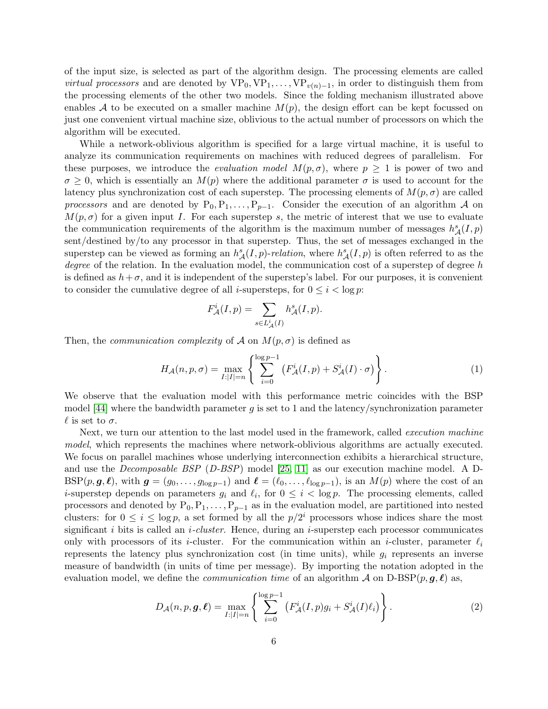of the input size, is selected as part of the algorithm design. The processing elements are called *virtual processors* and are denoted by  $VP_0, VP_1, \ldots, VP_{v(n)-1}$ , in order to distinguish them from the processing elements of the other two models. Since the folding mechanism illustrated above enables A to be executed on a smaller machine  $M(p)$ , the design effort can be kept focussed on just one convenient virtual machine size, oblivious to the actual number of processors on which the algorithm will be executed.

While a network-oblivious algorithm is specified for a large virtual machine, it is useful to analyze its communication requirements on machines with reduced degrees of parallelism. For these purposes, we introduce the *evaluation model*  $M(p, \sigma)$ , where  $p \geq 1$  is power of two and  $\sigma \geq 0$ , which is essentially an  $M(p)$  where the additional parameter  $\sigma$  is used to account for the latency plus synchronization cost of each superstep. The processing elements of  $M(p, \sigma)$  are called processors and are denoted by  $P_0, P_1, \ldots, P_{p-1}$ . Consider the execution of an algorithm A on  $M(p, \sigma)$  for a given input I. For each superstep s, the metric of interest that we use to evaluate the communication requirements of the algorithm is the maximum number of messages  $h^s_{\mathcal{A}}(I, p)$ sent/destined by/to any processor in that superstep. Thus, the set of messages exchanged in the superstep can be viewed as forming an  $h^s_{\mathcal{A}}(I,p)$ -relation, where  $h^s_{\mathcal{A}}(I,p)$  is often referred to as the degree of the relation. In the evaluation model, the communication cost of a superstep of degree  $h$ is defined as  $h+\sigma$ , and it is independent of the superstep's label. For our purposes, it is convenient to consider the cumulative degree of all *i*-supersteps, for  $0 \le i < \log p$ :

$$
F_{\mathcal{A}}^{i}(I,p)=\sum_{s\in L_{\mathcal{A}}^{i}(I)}h_{\mathcal{A}}^{s}(I,p).
$$

Then, the *communication complexity* of A on  $M(p, \sigma)$  is defined as

<span id="page-5-0"></span>
$$
H_{\mathcal{A}}(n,p,\sigma) = \max_{I:|I|=n} \left\{ \sum_{i=0}^{\log p-1} \left( F_{\mathcal{A}}^i(I,p) + S_{\mathcal{A}}^i(I) \cdot \sigma \right) \right\}.
$$
 (1)

We observe that the evaluation model with this performance metric coincides with the BSP model [\[44\]](#page-33-0) where the bandwidth parameter g is set to 1 and the latency/synchronization parameter  $\ell$  is set to  $\sigma$ .

Next, we turn our attention to the last model used in the framework, called *execution machine* model, which represents the machines where network-oblivious algorithms are actually executed. We focus on parallel machines whose underlying interconnection exhibits a hierarchical structure, and use the Decomposable BSP (D-BSP) model [\[25,](#page-31-3) [11\]](#page-30-4) as our execution machine model. A D-BSP $(p, g, \ell)$ , with  $g = (g_0, \ldots, g_{\log p-1})$  and  $\ell = (\ell_0, \ldots, \ell_{\log p-1})$ , is an  $M(p)$  where the cost of an *i*-superstep depends on parameters  $g_i$  and  $\ell_i$ , for  $0 \leq i < \log p$ . The processing elements, called processors and denoted by  $P_0, P_1, \ldots, P_{p-1}$  as in the evaluation model, are partitioned into nested clusters: for  $0 \leq i \leq \log p$ , a set formed by all the  $p/2^i$  processors whose indices share the most significant i bits is called an  $i$ -cluster. Hence, during an  $i$ -superstep each processor communicates only with processors of its *i*-cluster. For the communication within an *i*-cluster, parameter  $\ell_i$ represents the latency plus synchronization cost (in time units), while  $g_i$  represents an inverse measure of bandwidth (in units of time per message). By importing the notation adopted in the evaluation model, we define the *communication time* of an algorithm  $\mathcal A$  on  $D-BSP(p, \mathbf g, \ell)$  as,

<span id="page-5-1"></span>
$$
D_{\mathcal{A}}(n, p, \mathbf{g}, \ell) = \max_{I:|I|=n} \left\{ \sum_{i=0}^{\log p-1} \left( F_{\mathcal{A}}^{i}(I, p) g_{i} + S_{\mathcal{A}}^{i}(I) \ell_{i} \right) \right\}.
$$
 (2)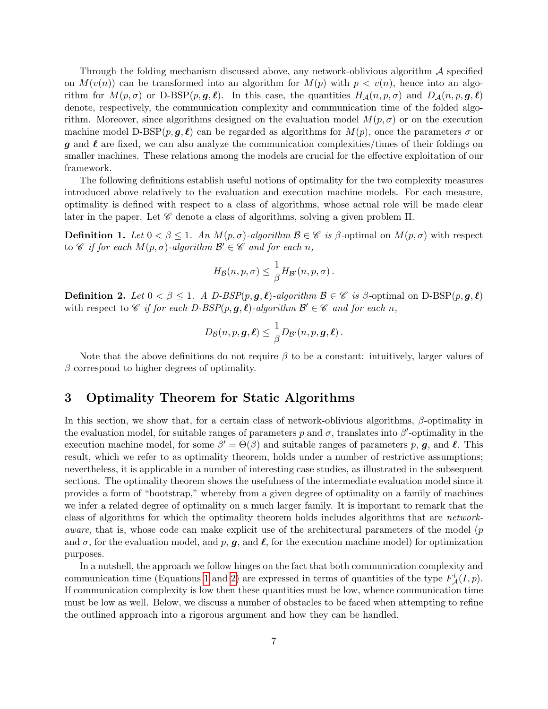Through the folding mechanism discussed above, any network-oblivious algorithm A specified on  $M(v(n))$  can be transformed into an algorithm for  $M(p)$  with  $p < v(n)$ , hence into an algorithm for  $M(p, \sigma)$  or D-BSP $(p, g, \ell)$ . In this case, the quantities  $H_A(n, p, \sigma)$  and  $D_A(n, p, g, \ell)$ denote, respectively, the communication complexity and communication time of the folded algorithm. Moreover, since algorithms designed on the evaluation model  $M(p, \sigma)$  or on the execution machine model D-BSP $(p, g, \ell)$  can be regarded as algorithms for  $M(p)$ , once the parameters  $\sigma$  or  $g$  and  $\ell$  are fixed, we can also analyze the communication complexities/times of their foldings on smaller machines. These relations among the models are crucial for the effective exploitation of our framework.

The following definitions establish useful notions of optimality for the two complexity measures introduced above relatively to the evaluation and execution machine models. For each measure, optimality is defined with respect to a class of algorithms, whose actual role will be made clear later in the paper. Let  $\mathscr C$  denote a class of algorithms, solving a given problem  $\Pi$ .

**Definition 1.** Let  $0 < \beta \leq 1$ . An  $M(p, \sigma)$ -algorithm  $\mathcal{B} \in \mathscr{C}$  is  $\beta$ -optimal on  $M(p, \sigma)$  with respect to  $\mathscr C$  if for each  $M(p, \sigma)$ -algorithm  $\mathcal B' \in \mathscr C$  and for each n,

$$
H_{\mathcal{B}}(n, p, \sigma) \leq \frac{1}{\beta} H_{\mathcal{B}'}(n, p, \sigma).
$$

**Definition 2.** Let  $0 < \beta \leq 1$ . A D-BSP(p, g,  $\ell$ )-algorithm  $\mathcal{B} \in \mathscr{C}$  is  $\beta$ -optimal on D-BSP(p, g,  $\ell$ ) with respect to  $\mathscr C$  if for each  $D-BSP(p, \mathbf g, \ell)$ -algorithm  $\mathcal B' \in \mathscr C$  and for each n,

$$
D_{\mathcal{B}}(n,p,\boldsymbol{g},\boldsymbol{\ell}) \leq \frac{1}{\beta}D_{\mathcal{B}'}(n,p,\boldsymbol{g},\boldsymbol{\ell})\,.
$$

Note that the above definitions do not require  $\beta$  to be a constant: intuitively, larger values of  $\beta$  correspond to higher degrees of optimality.

# <span id="page-6-0"></span>3 Optimality Theorem for Static Algorithms

In this section, we show that, for a certain class of network-oblivious algorithms,  $\beta$ -optimality in the evaluation model, for suitable ranges of parameters p and  $\sigma$ , translates into  $\beta'$ -optimality in the execution machine model, for some  $\beta' = \Theta(\beta)$  and suitable ranges of parameters p, g, and  $\ell$ . This result, which we refer to as optimality theorem, holds under a number of restrictive assumptions; nevertheless, it is applicable in a number of interesting case studies, as illustrated in the subsequent sections. The optimality theorem shows the usefulness of the intermediate evaluation model since it provides a form of "bootstrap," whereby from a given degree of optimality on a family of machines we infer a related degree of optimality on a much larger family. It is important to remark that the class of algorithms for which the optimality theorem holds includes algorithms that are networkaware, that is, whose code can make explicit use of the architectural parameters of the model (p and  $\sigma$ , for the evaluation model, and p, q, and  $\ell$ , for the execution machine model) for optimization purposes.

In a nutshell, the approach we follow hinges on the fact that both communication complexity and communication time (Equations [1](#page-5-0) and [2\)](#page-5-1) are expressed in terms of quantities of the type  $F^i_{\mathcal{A}}(I,p)$ . If communication complexity is low then these quantities must be low, whence communication time must be low as well. Below, we discuss a number of obstacles to be faced when attempting to refine the outlined approach into a rigorous argument and how they can be handled.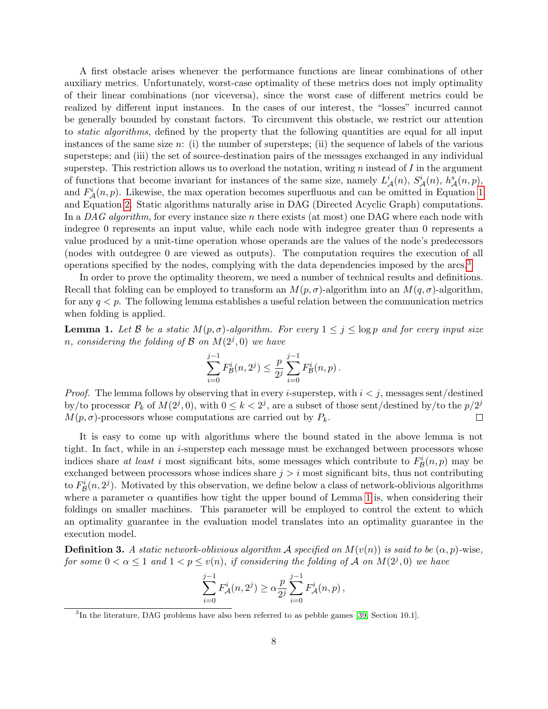A first obstacle arises whenever the performance functions are linear combinations of other auxiliary metrics. Unfortunately, worst-case optimality of these metrics does not imply optimality of their linear combinations (nor viceversa), since the worst case of different metrics could be realized by different input instances. In the cases of our interest, the "losses" incurred cannot be generally bounded by constant factors. To circumvent this obstacle, we restrict our attention to static algorithms, defined by the property that the following quantities are equal for all input instances of the same size n: (i) the number of supersteps; (ii) the sequence of labels of the various supersteps; and (iii) the set of source-destination pairs of the messages exchanged in any individual superstep. This restriction allows us to overload the notation, writing  $n$  instead of  $I$  in the argument of functions that become invariant for instances of the same size, namely  $L^i_{\mathcal{A}}(n)$ ,  $S^i_{\mathcal{A}}(n)$ ,  $h^s_{\mathcal{A}}(n,p)$ , and  $F_{\mathcal{A}}^{i}(n, p)$ . Likewise, the max operation becomes superfluous and can be omitted in Equation [1](#page-5-0) and Equation [2.](#page-5-1) Static algorithms naturally arise in DAG (Directed Acyclic Graph) computations. In a DAG algorithm, for every instance size n there exists (at most) one DAG where each node with indegree 0 represents an input value, while each node with indegree greater than 0 represents a value produced by a unit-time operation whose operands are the values of the node's predecessors (nodes with outdegree 0 are viewed as outputs). The computation requires the execution of all operations specified by the nodes, complying with the data dependencies imposed by the arcs.[3](#page-7-0)

In order to prove the optimality theorem, we need a number of technical results and definitions. Recall that folding can be employed to transform an  $M(p, \sigma)$ -algorithm into an  $M(q, \sigma)$ -algorithm. for any  $q < p$ . The following lemma establishes a useful relation between the communication metrics when folding is applied.

<span id="page-7-1"></span>**Lemma 1.** Let B be a static  $M(p, \sigma)$ -algorithm. For every  $1 \leq j \leq \log p$  and for every input size n, considering the folding of  $\mathcal B$  on  $M(2^j,0)$  we have

$$
\sum_{i=0}^{j-1} F_{\mathcal{B}}^i(n, 2^j) \le \frac{p}{2^j} \sum_{i=0}^{j-1} F_{\mathcal{B}}^i(n, p) .
$$

*Proof.* The lemma follows by observing that in every *i*-superstep, with  $i < j$ , messages sent/destined by/to processor  $P_k$  of  $M(2^j, 0)$ , with  $0 \le k < 2^j$ , are a subset of those sent/destined by/to the  $p/2^j$  $M(p, \sigma)$ -processors whose computations are carried out by  $P_k$ .  $\Box$ 

It is easy to come up with algorithms where the bound stated in the above lemma is not tight. In fact, while in an *i*-superstep each message must be exchanged between processors whose indices share at least i most significant bits, some messages which contribute to  $F^i_{\mathcal{B}}(n,p)$  may be exchanged between processors whose indices share  $j > i$  most significant bits, thus not contributing to  $F^i_{\mathcal{B}}(n, 2^j)$ . Motivated by this observation, we define below a class of network-oblivious algorithms where a parameter  $\alpha$  quantifies how tight the upper bound of Lemma [1](#page-7-1) is, when considering their foldings on smaller machines. This parameter will be employed to control the extent to which an optimality guarantee in the evaluation model translates into an optimality guarantee in the execution model.

**Definition 3.** A static network-oblivious algorithm A specified on  $M(v(n))$  is said to be  $(\alpha, p)$ -wise, for some  $0 < \alpha \leq 1$  and  $1 < p \leq v(n)$ , if considering the folding of A on  $M(2^j, 0)$  we have

$$
\sum_{i=0}^{j-1} F_{\mathcal{A}}^i(n, 2^j) \ge \alpha \frac{p}{2^j} \sum_{i=0}^{j-1} F_{\mathcal{A}}^i(n, p) ,
$$

<span id="page-7-0"></span><sup>&</sup>lt;sup>3</sup>In the literature, DAG problems have also been referred to as pebble games [\[39,](#page-32-5) Section 10.1].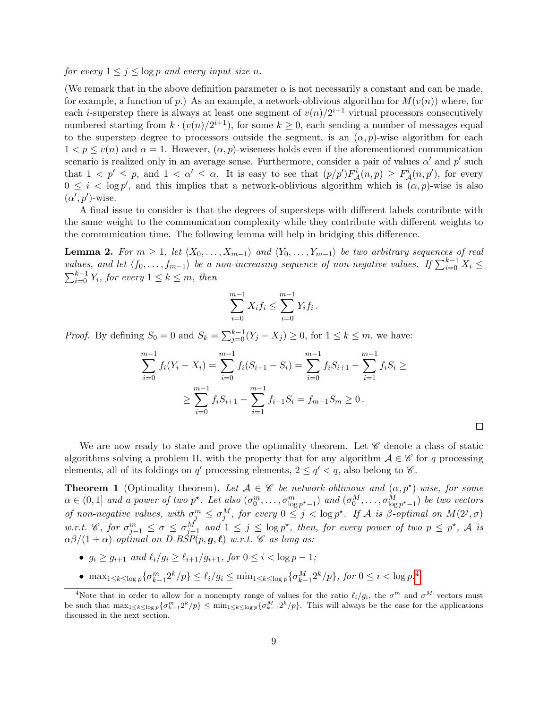for every  $1 \leq j \leq \log p$  and every input size n.

(We remark that in the above definition parameter  $\alpha$  is not necessarily a constant and can be made, for example, a function of p.) As an example, a network-oblivious algorithm for  $M(v(n))$  where, for each *i*-superstep there is always at least one segment of  $v(n)/2^{i+1}$  virtual processors consecutively numbered starting from  $k \cdot (v(n)/2^{i+1})$ , for some  $k \geq 0$ , each sending a number of messages equal to the superstep degree to processors outside the segment, is an  $(\alpha, p)$ -wise algorithm for each  $1 < p \le v(n)$  and  $\alpha = 1$ . However,  $(\alpha, p)$ -wiseness holds even if the aforementioned communication scenario is realized only in an average sense. Furthermore, consider a pair of values  $\alpha'$  and  $p'$  such that  $1 < p' \le p$ , and  $1 < \alpha' \le \alpha$ . It is easy to see that  $(p/p')F^i_{\mathcal{A}}(n,p) \ge F^i_{\mathcal{A}}(n,p')$ , for every  $0 \leq i < \log p'$ , and this implies that a network-oblivious algorithm which is  $(\alpha, p)$ -wise is also  $(\alpha', p')$ -wise.

A final issue to consider is that the degrees of supersteps with different labels contribute with the same weight to the communication complexity while they contribute with different weights to the communication time. The following lemma will help in bridging this difference.

<span id="page-8-1"></span>**Lemma 2.** For  $m \geq 1$ , let  $\langle X_0, \ldots, X_{m-1} \rangle$  and  $\langle Y_0, \ldots, Y_{m-1} \rangle$  be two arbitrary sequences of real values, and let  $\langle f_0, \ldots, f_{m-1} \rangle$  be a non-increasing sequence of non-negative values. If  $\sum_{i=0}^{k-1} X_i \leq$  $\sum_{i=0}^{k-1} Y_i$ , for every  $1 \leq k \leq m$ , then

$$
\sum_{i=0}^{m-1} X_i f_i \le \sum_{i=0}^{m-1} Y_i f_i.
$$

*Proof.* By defining  $S_0 = 0$  and  $S_k = \sum_{j=0}^{k-1} (Y_j - X_j) \ge 0$ , for  $1 \le k \le m$ , we have:

$$
\sum_{i=0}^{m-1} f_i(Y_i - X_i) = \sum_{i=0}^{m-1} f_i(S_{i+1} - S_i) = \sum_{i=0}^{m-1} f_i S_{i+1} - \sum_{i=1}^{m-1} f_i S_i \ge
$$
  
 
$$
\ge \sum_{i=0}^{m-1} f_i S_{i+1} - \sum_{i=1}^{m-1} f_{i-1} S_i = f_{m-1} S_m \ge 0.
$$

 $\Box$ 

| We are now ready to state and prove the optimality theorem. Let $\mathscr C$ denote a class of static              |  |  |
|--------------------------------------------------------------------------------------------------------------------|--|--|
| algorithms solving a problem $\Pi$ , with the property that for any algorithm $A \in \mathscr{C}$ for q processing |  |  |
| elements, all of its foldings on q' processing elements, $2 \leq q' \leq q$ , also belong to $\mathscr{C}$ .       |  |  |

<span id="page-8-2"></span>**Theorem 1** (Optimality theorem). Let  $A \in \mathscr{C}$  be network-oblivious and  $(\alpha, p^*)$ -wise, for some  $\alpha \in (0,1]$  and a power of two  $p^*$ . Let also  $(\sigma_0^m,\ldots,\sigma_{\log p^*-1}^m)$  and  $(\sigma_0^M,\ldots,\sigma_{\log p^*-1}^M)$  be two vectors of non-negative values, with  $\sigma_j^m \leq \sigma_j^M$ , for every  $0 \leq j < \log p^*$ . If A is  $\beta$ -optimal on  $M(2^j, \sigma)$ w.r.t. C, for  $\sigma_{j-1}^m \leq \sigma \leq \sigma_{j-1}^M$  and  $1 \leq j \leq \log p^{\star}$ , then, for every power of two  $p \leq p^{\star}$ , A is  $\alpha \beta/(1+\alpha)$ -optimal on D-BSP $(p,\bm{g},\bm{\ell})$  w.r.t.  $\mathscr C$  as long as:

- $q_i \geq q_{i+1}$  and  $\ell_i/q_i \geq \ell_{i+1}/q_{i+1}$ , for  $0 \leq i < \log p 1$ ;
- $\max_{1 \leq k \leq \log p} {\{\sigma_{k-1}^m 2^k / p\}} \leq \ell_i / g_i \leq \min_{1 \leq k \leq \log p} {\{\sigma_{k-1}^M 2^k / p\}},$  for  $0 \leq i < \log p$ .

<span id="page-8-0"></span><sup>&</sup>lt;sup>4</sup>Note that in order to allow for a nonempty range of values for the ratio  $\ell_i/g_i$ , the  $\sigma^m$  and  $\sigma^M$  vectors must be such that  $\max_{1 \leq k \leq \log p} {\{\sigma_{k-1}^m 2^k/p\}} \leq \min_{1 \leq k \leq \log p} {\{\sigma_{k-1}^M 2^k/p\}}$ . This will always be the case for the applications discussed in the next section.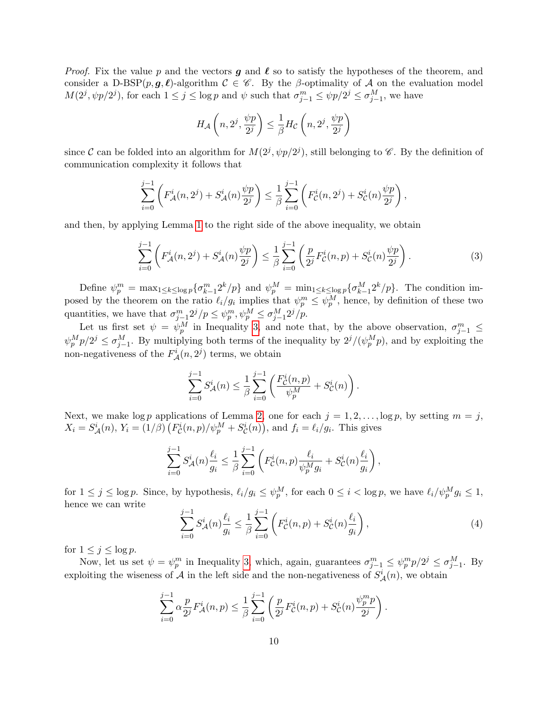*Proof.* Fix the value p and the vectors g and  $\ell$  so to satisfy the hypotheses of the theorem, and consider a D-BSP $(p, g, \ell)$ -algorithm  $C \in \mathscr{C}$ . By the  $\beta$ -optimality of A on the evaluation model  $M(2^j, \psi p/2^j)$ , for each  $1 \leq j \leq \log p$  and  $\psi$  such that  $\sigma_{j-1}^m \leq \psi p/2^j \leq \sigma_{j-1}^M$ , we have

$$
H_{\mathcal{A}}\left(n, 2^{j}, \frac{\psi p}{2^{j}}\right) \leq \frac{1}{\beta} H_{\mathcal{C}}\left(n, 2^{j}, \frac{\psi p}{2^{j}}\right)
$$

since C can be folded into an algorithm for  $M(2^j, \psi p/2^j)$ , still belonging to C. By the definition of communication complexity it follows that

$$
\sum_{i=0}^{j-1} \left( F_{\mathcal{A}}^{i}(n,2^{j}) + S_{\mathcal{A}}^{i}(n) \frac{\psi p}{2^{j}} \right) \leq \frac{1}{\beta} \sum_{i=0}^{j-1} \left( F_{\mathcal{C}}^{i}(n,2^{j}) + S_{\mathcal{C}}^{i}(n) \frac{\psi p}{2^{j}} \right),
$$

and then, by applying Lemma [1](#page-7-1) to the right side of the above inequality, we obtain

<span id="page-9-0"></span>
$$
\sum_{i=0}^{j-1} \left( F_A^i(n, 2^j) + S_A^i(n) \frac{\psi p}{2^j} \right) \le \frac{1}{\beta} \sum_{i=0}^{j-1} \left( \frac{p}{2^j} F_C^i(n, p) + S_C^i(n) \frac{\psi p}{2^j} \right). \tag{3}
$$

Define  $\psi_p^m = \max_{1 \leq k \leq \log p} {\sigma_{k-1}^m 2^k / p}$  and  $\psi_p^M = \min_{1 \leq k \leq \log p} {\sigma_{k-1}^M 2^k / p}$ . The condition imposed by the theorem on the ratio  $\ell_i/g_i$  implies that  $\psi_p^m \leq \psi_p^M$ , hence, by definition of these two quantities, we have that  $\sigma_{j-1}^m 2^j/p \leq \psi_p^m, \psi_p^M \leq \sigma_{j-1}^M 2^j/p$ .

Let us first set  $\psi = \psi_p^M$  in Inequality [3,](#page-9-0) and note that, by the above observation,  $\sigma_{j-1}^m \leq$  $\psi_p^M p/2^j \leq \sigma_{j-1}^M$ . By multiplying both terms of the inequality by  $2^j/(\psi_p^M p)$ , and by exploiting the non-negativeness of the  $F^i_{\mathcal{A}}(n, 2^j)$  terms, we obtain

$$
\sum_{i=0}^{j-1} S_{\mathcal{A}}^{i}(n) \leq \frac{1}{\beta} \sum_{i=0}^{j-1} \left( \frac{F_{\mathcal{C}}^{i}(n, p)}{\psi_{p}^{M}} + S_{\mathcal{C}}^{i}(n) \right).
$$

Next, we make  $\log p$  applications of Lemma [2,](#page-8-1) one for each  $j = 1, 2, \ldots, \log p$ , by setting  $m = j$ ,  $X_i = S^i_{\mathcal{A}}(n), Y_i = (1/\beta) \left( F^i_{\mathcal{C}}(n, p) / \psi^M_p + S^i_{\mathcal{C}}(n) \right)$ , and  $f_i = \ell_i / g_i$ . This gives

$$
\sum_{i=0}^{j-1} S_{\mathcal{A}}^{i}(n) \frac{\ell_{i}}{g_{i}} \leq \frac{1}{\beta} \sum_{i=0}^{j-1} \left( F_{\mathcal{C}}^{i}(n, p) \frac{\ell_{i}}{\psi_{p}^{M} g_{i}} + S_{\mathcal{C}}^{i}(n) \frac{\ell_{i}}{g_{i}} \right),
$$

for  $1 \leq j \leq \log p$ . Since, by hypothesis,  $\ell_i/g_i \leq \psi_p^M$ , for each  $0 \leq i < \log p$ , we have  $\ell_i/\psi_p^M g_i \leq 1$ , hence we can write

<span id="page-9-1"></span>
$$
\sum_{i=0}^{j-1} S_{\mathcal{A}}^{i}(n) \frac{\ell_{i}}{g_{i}} \leq \frac{1}{\beta} \sum_{i=0}^{j-1} \left( F_{\mathcal{C}}^{i}(n, p) + S_{\mathcal{C}}^{i}(n) \frac{\ell_{i}}{g_{i}} \right), \tag{4}
$$

for  $1 \leq j \leq \log p$ .

Now, let us set  $\psi = \psi_p^m$  in Inequality [3,](#page-9-0) which, again, guarantees  $\sigma_{j-1}^m \leq \psi_p^m p/2^j \leq \sigma_{j-1}^M$ . By exploiting the wiseness of  $A$  in the left side and the non-negativeness of  $S^i_{\mathcal{A}}(n)$ , we obtain

$$
\sum_{i=0}^{j-1} \alpha \frac{p}{2^j} F_{\mathcal{A}}^i(n, p) \le \frac{1}{\beta} \sum_{i=0}^{j-1} \left( \frac{p}{2^j} F_{\mathcal{C}}^i(n, p) + S_{\mathcal{C}}^i(n) \frac{\psi_p^m p}{2^j} \right).
$$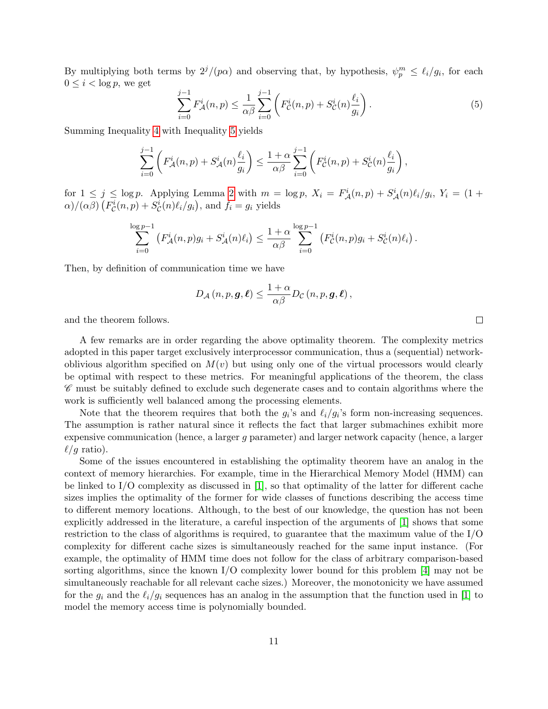By multiplying both terms by  $2^j/(p\alpha)$  and observing that, by hypothesis,  $\psi_p^m \leq \ell_i/g_i$ , for each  $0 \leq i < \log p$ , we get

<span id="page-10-0"></span>
$$
\sum_{i=0}^{j-1} F_{\mathcal{A}}^{i}(n, p) \le \frac{1}{\alpha \beta} \sum_{i=0}^{j-1} \left( F_{\mathcal{C}}^{i}(n, p) + S_{\mathcal{C}}^{i}(n) \frac{\ell_{i}}{g_{i}} \right). \tag{5}
$$

Summing Inequality [4](#page-9-1) with Inequality [5](#page-10-0) yields

$$
\sum_{i=0}^{j-1} \left( F_{\mathcal{A}}^i(n,p) + S_{\mathcal{A}}^i(n) \frac{\ell_i}{g_i} \right) \le \frac{1+\alpha}{\alpha \beta} \sum_{i=0}^{j-1} \left( F_{\mathcal{C}}^i(n,p) + S_{\mathcal{C}}^i(n) \frac{\ell_i}{g_i} \right),
$$

for  $1 \leq j \leq \log p$ . Applying Lemma [2](#page-8-1) with  $m = \log p$ ,  $X_i = F^i_{\mathcal{A}}(n, p) + S^i_{\mathcal{A}}(n) \ell_i/g_i$ ,  $Y_i = (1 +$  $\alpha$ )/( $\alpha$  $\beta$ ) ( $F_{\mathcal{C}}^{i}(n,p) + S_{\mathcal{C}}^{i}(n)\ell_i/g_i$ ), and  $f_i = g_i$  yields

$$
\sum_{i=0}^{\log p-1} \left( F_{\mathcal{A}}^{i}(n,p)g_{i} + S_{\mathcal{A}}^{i}(n)\ell_{i} \right) \leq \frac{1+\alpha}{\alpha\beta} \sum_{i=0}^{\log p-1} \left( F_{\mathcal{C}}^{i}(n,p)g_{i} + S_{\mathcal{C}}^{i}(n)\ell_{i} \right).
$$

Then, by definition of communication time we have

$$
D_{\mathcal{A}}\left(n,p,\boldsymbol{g},\boldsymbol{\ell}\right)\leq\frac{1+\alpha}{\alpha\beta}D_{\mathcal{C}}\left(n,p,\boldsymbol{g},\boldsymbol{\ell}\right),
$$

and the theorem follows.

A few remarks are in order regarding the above optimality theorem. The complexity metrics adopted in this paper target exclusively interprocessor communication, thus a (sequential) networkoblivious algorithm specified on  $M(v)$  but using only one of the virtual processors would clearly be optimal with respect to these metrics. For meaningful applications of the theorem, the class C must be suitably defined to exclude such degenerate cases and to contain algorithms where the work is sufficiently well balanced among the processing elements.

Note that the theorem requires that both the  $g_i$ 's and  $\ell_i/g_i$ 's form non-increasing sequences. The assumption is rather natural since it reflects the fact that larger submachines exhibit more expensive communication (hence, a larger g parameter) and larger network capacity (hence, a larger  $\ell/g$  ratio).

Some of the issues encountered in establishing the optimality theorem have an analog in the context of memory hierarchies. For example, time in the Hierarchical Memory Model (HMM) can be linked to I/O complexity as discussed in [\[1\]](#page-30-8), so that optimality of the latter for different cache sizes implies the optimality of the former for wide classes of functions describing the access time to different memory locations. Although, to the best of our knowledge, the question has not been explicitly addressed in the literature, a careful inspection of the arguments of [\[1\]](#page-30-8) shows that some restriction to the class of algorithms is required, to guarantee that the maximum value of the I/O complexity for different cache sizes is simultaneously reached for the same input instance. (For example, the optimality of HMM time does not follow for the class of arbitrary comparison-based sorting algorithms, since the known I/O complexity lower bound for this problem [\[4\]](#page-30-9) may not be simultaneously reachable for all relevant cache sizes.) Moreover, the monotonicity we have assumed for the  $g_i$  and the  $\ell_i/g_i$  sequences has an analog in the assumption that the function used in [\[1\]](#page-30-8) to model the memory access time is polynomially bounded.

 $\Box$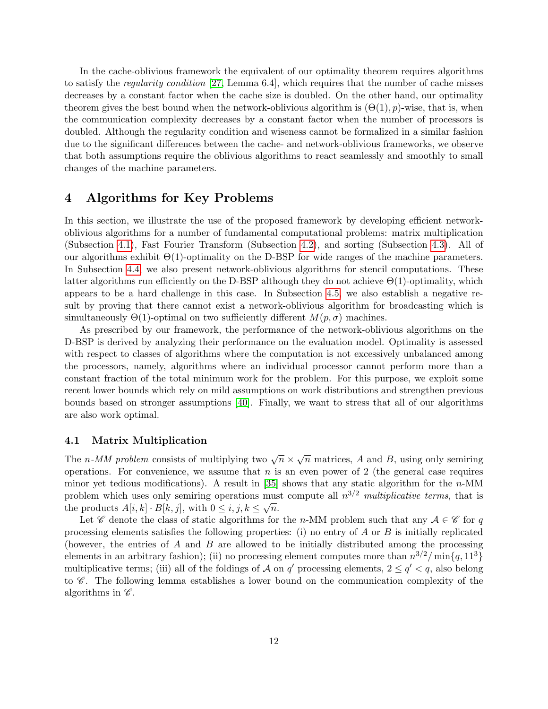In the cache-oblivious framework the equivalent of our optimality theorem requires algorithms to satisfy the regularity condition [\[27,](#page-32-3) Lemma 6.4], which requires that the number of cache misses decreases by a constant factor when the cache size is doubled. On the other hand, our optimality theorem gives the best bound when the network-oblivious algorithm is  $(\Theta(1), p)$ -wise, that is, when the communication complexity decreases by a constant factor when the number of processors is doubled. Although the regularity condition and wiseness cannot be formalized in a similar fashion due to the significant differences between the cache- and network-oblivious frameworks, we observe that both assumptions require the oblivious algorithms to react seamlessly and smoothly to small changes of the machine parameters.

# <span id="page-11-0"></span>4 Algorithms for Key Problems

In this section, we illustrate the use of the proposed framework by developing efficient networkoblivious algorithms for a number of fundamental computational problems: matrix multiplication (Subsection [4.1\)](#page-11-1), Fast Fourier Transform (Subsection [4.2\)](#page-13-0), and sorting (Subsection [4.3\)](#page-15-0). All of our algorithms exhibit  $\Theta(1)$ -optimality on the D-BSP for wide ranges of the machine parameters. In Subsection [4.4,](#page-17-0) we also present network-oblivious algorithms for stencil computations. These latter algorithms run efficiently on the D-BSP although they do not achieve  $\Theta(1)$ -optimality, which appears to be a hard challenge in this case. In Subsection [4.5,](#page-23-0) we also establish a negative result by proving that there cannot exist a network-oblivious algorithm for broadcasting which is simultaneously  $\Theta(1)$ -optimal on two sufficiently different  $M(p, \sigma)$  machines.

As prescribed by our framework, the performance of the network-oblivious algorithms on the D-BSP is derived by analyzing their performance on the evaluation model. Optimality is assessed with respect to classes of algorithms where the computation is not excessively unbalanced among the processors, namely, algorithms where an individual processor cannot perform more than a constant fraction of the total minimum work for the problem. For this purpose, we exploit some recent lower bounds which rely on mild assumptions on work distributions and strengthen previous bounds based on stronger assumptions [\[40\]](#page-32-6). Finally, we want to stress that all of our algorithms are also work optimal.

#### <span id="page-11-1"></span>4.1 Matrix Multiplication

The *n*-*MM* problem consists of multiplying two  $\sqrt{n} \times \sqrt{n}$  $\overline{n}$  matrices, A and B, using only semiring operations. For convenience, we assume that  $n$  is an even power of 2 (the general case requires minor yet tedious modifications). A result in [\[35\]](#page-32-7) shows that any static algorithm for the  $n$ -MM problem which uses only semiring operations must compute all  $n^{3/2}$  multiplicative terms, that is the products  $A[i, k] \cdot B[k, j]$ , with  $0 \leq i, j, k \leq \sqrt{n}$ .

Let C denote the class of static algorithms for the n-MM problem such that any  $A \in \mathscr{C}$  for q processing elements satisfies the following properties: (i) no entry of A or B is initially replicated (however, the entries of A and B are allowed to be initially distributed among the processing elements in an arbitrary fashion); (ii) no processing element computes more than  $n^{3/2}/\min\{q, 11^3\}$ multiplicative terms; (iii) all of the foldings of A on q' processing elements,  $2 \le q' < q$ , also belong to  $\mathscr{C}$ . The following lemma establishes a lower bound on the communication complexity of the algorithms in  $\mathscr{C}$ .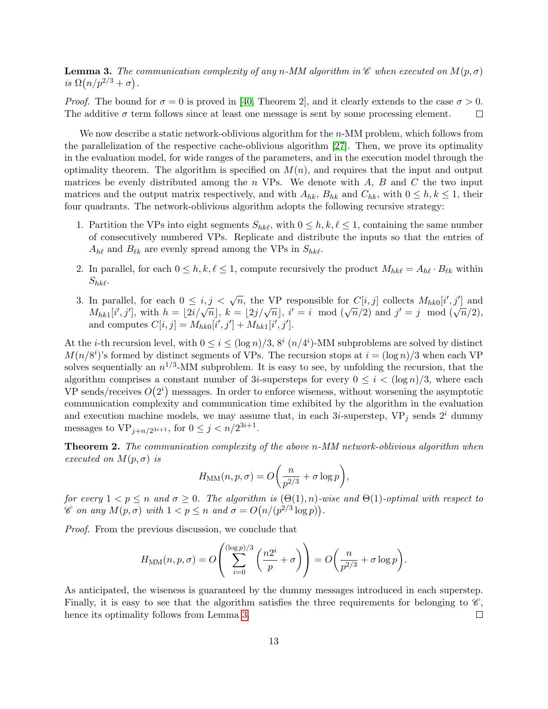<span id="page-12-0"></span>**Lemma 3.** The communication complexity of any n-MM algorithm in  $\mathscr C$  when executed on  $M(p, \sigma)$ is  $\Omega(n/p^{2/3} + \sigma)$ .

*Proof.* The bound for  $\sigma = 0$  is proved in [\[40,](#page-32-6) Theorem 2], and it clearly extends to the case  $\sigma > 0$ . The additive  $\sigma$  term follows since at least one message is sent by some processing element.  $\Box$ 

We now describe a static network-oblivious algorithm for the  $n-MM$  problem, which follows from the parallelization of the respective cache-oblivious algorithm [\[27\]](#page-32-3). Then, we prove its optimality in the evaluation model, for wide ranges of the parameters, and in the execution model through the optimality theorem. The algorithm is specified on  $M(n)$ , and requires that the input and output matrices be evenly distributed among the n VPs. We denote with  $A, B$  and  $C$  the two input matrices and the output matrix respectively, and with  $A_{hk}$ ,  $B_{hk}$  and  $C_{hk}$ , with  $0 \leq h, k \leq 1$ , their four quadrants. The network-oblivious algorithm adopts the following recursive strategy:

- 1. Partition the VPs into eight segments  $S_{hk\ell}$ , with  $0 \leq h, k, \ell \leq 1$ , containing the same number of consecutively numbered VPs. Replicate and distribute the inputs so that the entries of  $A_{h\ell}$  and  $B_{\ell k}$  are evenly spread among the VPs in  $S_{h k\ell}$ .
- 2. In parallel, for each  $0 \le h, k, \ell \le 1$ , compute recursively the product  $M_{hk\ell} = A_{h\ell} \cdot B_{\ell k}$  within  $S_{h k \ell}$ .
- 3. In parallel, for each  $0 \leq i, j \leq \sqrt{n}$ , the VP responsible for  $C[i, j]$  collects  $M_{hk0}[i', j']$  and In paramet, for each  $0 \le i, j \le \sqrt{n}$ , the V<sub>1</sub> responsible for  $C[i, j]$  conects  $M_h k_0[i', j']$  and  $M_{hkl}[i', j']$ , with  $h = \lfloor 2i/\sqrt{n} \rfloor$ ,  $k = \lfloor 2j/\sqrt{n} \rfloor$ ,  $i' = i \mod (\sqrt{n}/2)$  and  $j' = j \mod (\sqrt{n}/2)$ , and computes  $C[i, j] = M_{hk0}[i', j'] + M_{hk1}[i', j'].$

At the *i*-th recursion level, with  $0 \le i \le (\log n)/3$ ,  $8^i$   $(n/4^i)$ -MM subproblems are solved by distinct  $M(n/8<sup>i</sup>)$ 's formed by distinct segments of VPs. The recursion stops at  $i = (\log n)/3$  when each VP solves sequentially an  $n^{1/3}$ -MM subproblem. It is easy to see, by unfolding the recursion, that the algorithm comprises a constant number of 3*i*-supersteps for every  $0 \le i \le (\log n)/3$ , where each VP sends/receives  $O(2<sup>i</sup>)$  messages. In order to enforce wiseness, without worsening the asymptotic communication complexity and communication time exhibited by the algorithm in the evaluation and execution machine models, we may assume that, in each 3*i*-superstep,  $VP_i$  sends 2<sup>*i*</sup> dummy messages to  $VP_{j+n/2^{3i+1}}$ , for  $0 \leq j \leq n/2^{3i+1}$ .

**Theorem 2.** The communication complexity of the above n-MM network-oblivious algorithm when executed on  $M(p, \sigma)$  is

$$
H_{\text{MM}}(n, p, \sigma) = O\bigg(\frac{n}{p^{2/3}} + \sigma \log p\bigg),\,
$$

for every  $1 < p \le n$  and  $\sigma > 0$ . The algorithm is  $(\Theta(1), n)$ -wise and  $\Theta(1)$ -optimal with respect to  $\mathscr C$  on any  $M(p,\sigma)$  with  $1 < p \leq n$  and  $\sigma = O(n/(p^{2/3} \log p)).$ 

Proof. From the previous discussion, we conclude that

$$
H_{\text{MM}}(n, p, \sigma) = O\left(\sum_{i=0}^{(\log p)/3} \left(\frac{n2^i}{p} + \sigma\right)\right) = O\left(\frac{n}{p^{2/3}} + \sigma \log p\right).
$$

As anticipated, the wiseness is guaranteed by the dummy messages introduced in each superstep. Finally, it is easy to see that the algorithm satisfies the three requirements for belonging to  $\mathscr{C}$ , hence its optimality follows from Lemma [3.](#page-12-0)  $\Box$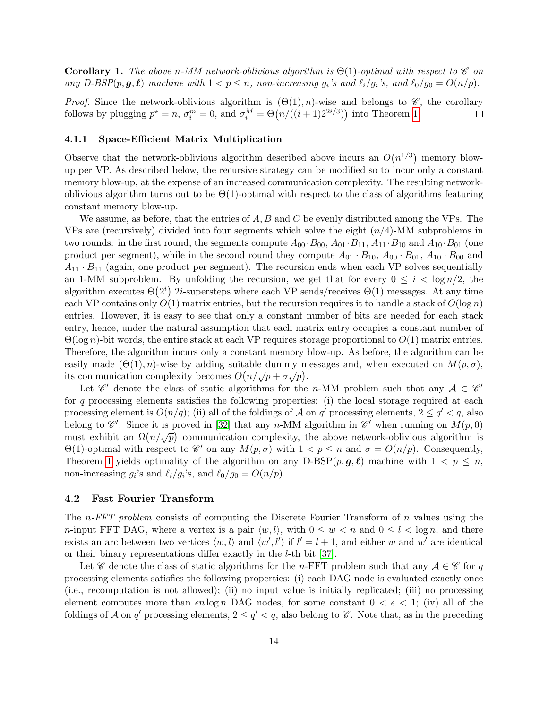**Corollary 1.** The above n-MM network-oblivious algorithm is  $\Theta(1)$ -optimal with respect to  $\mathscr C$  on any D-BSP $(p, g, \ell)$  machine with  $1 < p \le n$ , non-increasing  $g_i$ 's and  $\ell_i/g_i$ 's, and  $\ell_0/g_0 = O(n/p)$ .

*Proof.* Since the network-oblivious algorithm is  $(\Theta(1), n)$ -wise and belongs to  $\mathscr{C}$ , the corollary follows by plugging  $p^* = n$ ,  $\sigma_i^m = 0$ , and  $\sigma_i^M = \Theta(n/((i+1)2^{2i/3}))$  into Theorem [1.](#page-8-2)  $\Box$ 

#### 4.1.1 Space-Efficient Matrix Multiplication

Observe that the network-oblivious algorithm described above incurs an  $O(n^{1/3})$  memory blowup per VP. As described below, the recursive strategy can be modified so to incur only a constant memory blow-up, at the expense of an increased communication complexity. The resulting networkoblivious algorithm turns out to be  $\Theta(1)$ -optimal with respect to the class of algorithms featuring constant memory blow-up.

We assume, as before, that the entries of  $A, B$  and  $C$  be evenly distributed among the VPs. The VPs are (recursively) divided into four segments which solve the eight  $(n/4)$ -MM subproblems in two rounds: in the first round, the segments compute  $A_{00} \cdot B_{00}$ ,  $A_{01} \cdot B_{11}$ ,  $A_{11} \cdot B_{10}$  and  $A_{10} \cdot B_{01}$  (one product per segment), while in the second round they compute  $A_{01} \cdot B_{10}$ ,  $A_{00} \cdot B_{01}$ ,  $A_{10} \cdot B_{00}$  and  $A_{11} \cdot B_{11}$  (again, one product per segment). The recursion ends when each VP solves sequentially an 1-MM subproblem. By unfolding the recursion, we get that for every  $0 \leq i < \log n/2$ , the algorithm executes  $\Theta(2^i)$  2*i*-supersteps where each VP sends/receives  $\Theta(1)$  messages. At any time each VP contains only  $O(1)$  matrix entries, but the recursion requires it to handle a stack of  $O(\log n)$ entries. However, it is easy to see that only a constant number of bits are needed for each stack entry, hence, under the natural assumption that each matrix entry occupies a constant number of  $\Theta(\log n)$ -bit words, the entire stack at each VP requires storage proportional to  $O(1)$  matrix entries. Therefore, the algorithm incurs only a constant memory blow-up. As before, the algorithm can be easily made  $(\Theta(1), n)$ -wise by adding suitable dummy messages and, when executed on  $M(p, \sigma)$ , the communication complexity becomes  $O(n/\sqrt{p} + \sigma\sqrt{p})$ .

Let  $\mathscr{C}'$  denote the class of static algorithms for the n-MM problem such that any  $\mathcal{A} \in \mathscr{C}'$ for q processing elements satisfies the following properties: (i) the local storage required at each processing element is  $O(n/q)$ ; (ii) all of the foldings of A on q' processing elements,  $2 \le q' < q$ , also belong to  $\mathscr{C}'$ . Since it is proved in [\[32\]](#page-32-8) that any n-MM algorithm in  $\mathscr{C}'$  when running on  $M(p, 0)$ belong to v. Since it is proved in [52] that any n-will algorithm in v. when running on  $M(p, 0)$ <br>must exhibit an  $\Omega(n/\sqrt{p})$  communication complexity, the above network-oblivious algorithm is  $\Theta(1)$ -optimal with respect to  $\mathscr{C}'$  on any  $M(p, \sigma)$  with  $1 < p \leq n$  and  $\sigma = O(n/p)$ . Consequently, Theorem [1](#page-8-2) yields optimality of the algorithm on any  $D-BSP(p, g, \ell)$  machine with  $1 < p \leq n$ , non-increasing  $g_i$ 's and  $\ell_i/g_i$ 's, and  $\ell_0/g_0 = O(n/p)$ .

#### <span id="page-13-0"></span>4.2 Fast Fourier Transform

The n-FFT problem consists of computing the Discrete Fourier Transform of n values using the n-input FFT DAG, where a vertex is a pair  $\langle w, l \rangle$ , with  $0 \leq w < n$  and  $0 \leq l < \log n$ , and there exists an arc between two vertices  $\langle w, l \rangle$  and  $\langle w', l' \rangle$  if  $l' = l + 1$ , and either w and w' are identical or their binary representations differ exactly in the l-th bit [\[37\]](#page-32-9).

Let C denote the class of static algorithms for the n-FFT problem such that any  $A \in \mathscr{C}$  for q processing elements satisfies the following properties: (i) each DAG node is evaluated exactly once (i.e., recomputation is not allowed); (ii) no input value is initially replicated; (iii) no processing element computes more than  $\epsilon n \log n$  DAG nodes, for some constant  $0 < \epsilon < 1$ ; (iv) all of the foldings of A on q' processing elements,  $2 \le q' < q$ , also belong to  $\mathscr{C}$ . Note that, as in the preceding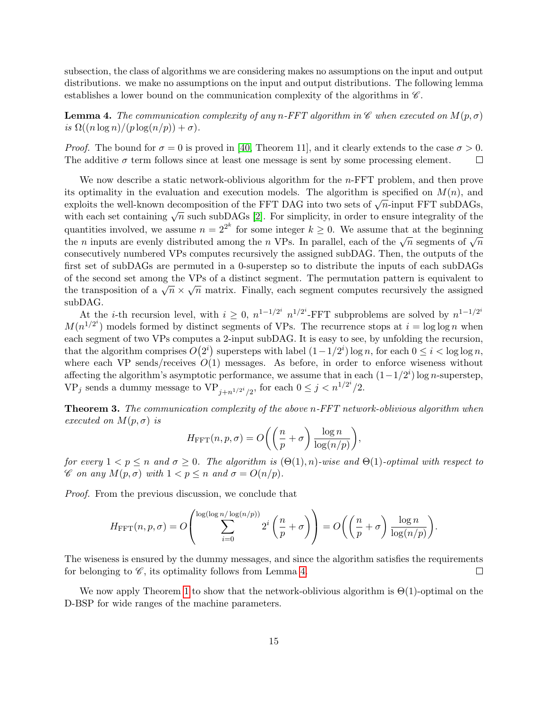subsection, the class of algorithms we are considering makes no assumptions on the input and output distributions. we make no assumptions on the input and output distributions. The following lemma establishes a lower bound on the communication complexity of the algorithms in  $\mathscr{C}$ .

<span id="page-14-0"></span>**Lemma 4.** The communication complexity of any n-FFT algorithm in  $\mathscr C$  when executed on  $M(p, \sigma)$ is  $\Omega((n \log n)/(p \log(n/p)) + \sigma)$ .

*Proof.* The bound for  $\sigma = 0$  is proved in [\[40,](#page-32-6) Theorem 11], and it clearly extends to the case  $\sigma > 0$ . The additive  $\sigma$  term follows since at least one message is sent by some processing element.  $\Box$ 

We now describe a static network-oblivious algorithm for the n-FFT problem, and then prove its optimality in the evaluation and execution models. The algorithm is specified on  $M(n)$ , and Exploits the well-known decomposition of the FFT DAG into two sets of  $\sqrt{n}$ -input FFT subDAGs, explores the wen-known decomposition of the FFT DAG fluo two sets of  $\sqrt{n}$ -input FFT subDAGs, with each set containing  $\sqrt{n}$  such subDAGs [\[2\]](#page-30-10). For simplicity, in order to ensure integrality of the quantities involved, we assume  $n = 2^{2^k}$  for some integer  $k \geq 0$ . We assume that at the beginning quantities involved, we assume  $n = 2$  for some integer  $\kappa \ge 0$ . We assume that at the beginning the *n* inputs are evenly distributed among the *n* VPs. In parallel, each of the  $\sqrt{n}$  segments of  $\sqrt{n}$ consecutively numbered VPs computes recursively the assigned subDAG. Then, the outputs of the first set of subDAGs are permuted in a 0-superstep so to distribute the inputs of each subDAGs of the second set among the VPs of a distinct segment. The permutation pattern is equivalent to of the second set allong the v1 s of a distinct segment. The permutation pattern is equivalent to<br>the transposition of a  $\sqrt{n} \times \sqrt{n}$  matrix. Finally, each segment computes recursively the assigned subDAG.

At the *i*-th recursion level, with  $i \geq 0$ ,  $n^{1-1/2^i}$   $n^{1/2^i}$ -FFT subproblems are solved by  $n^{1-1/2^i}$  $M(n^{1/2^{i}})$  models formed by distinct segments of VPs. The recurrence stops at  $i = \log \log n$  when each segment of two VPs computes a 2-input subDAG. It is easy to see, by unfolding the recursion, that the algorithm comprises  $O(2^i)$  supersteps with label  $(1-1/2^i)$  log n, for each  $0 \leq i < \log \log n$ , where each VP sends/receives  $O(1)$  messages. As before, in order to enforce wiseness without affecting the algorithm's asymptotic performance, we assume that in each  $(1-1/2<sup>i</sup>)$  log n-superstep, VP<sub>j</sub> sends a dummy message to VP<sub>j+n<sup>1/2i</sup>/2, for each  $0 \leq j < n^{1/2^{i}}/2$ .</sub>

Theorem 3. The communication complexity of the above n-FFT network-oblivious algorithm when executed on  $M(p, \sigma)$  is

$$
H_{\text{FFT}}(n, p, \sigma) = O\left(\left(\frac{n}{p} + \sigma\right) \frac{\log n}{\log(n/p)}\right),\,
$$

for every  $1 < p \leq n$  and  $\sigma \geq 0$ . The algorithm is  $(\Theta(1), n)$ -wise and  $\Theta(1)$ -optimal with respect to  $\mathscr C$  on any  $M(p,\sigma)$  with  $1 < p \leq n$  and  $\sigma = O(n/p)$ .

Proof. From the previous discussion, we conclude that

$$
H_{\text{FFT}}(n, p, \sigma) = O\left(\sum_{i=0}^{\log(\log n/\log(n/p))} 2^i \left(\frac{n}{p} + \sigma\right)\right) = O\left(\left(\frac{n}{p} + \sigma\right) \frac{\log n}{\log(n/p)}\right).
$$

The wiseness is ensured by the dummy messages, and since the algorithm satisfies the requirements for belonging to  $\mathscr{C}$ , its optimality follows from Lemma [4.](#page-14-0)  $\Box$ 

We now apply Theorem [1](#page-8-2) to show that the network-oblivious algorithm is  $\Theta(1)$ -optimal on the D-BSP for wide ranges of the machine parameters.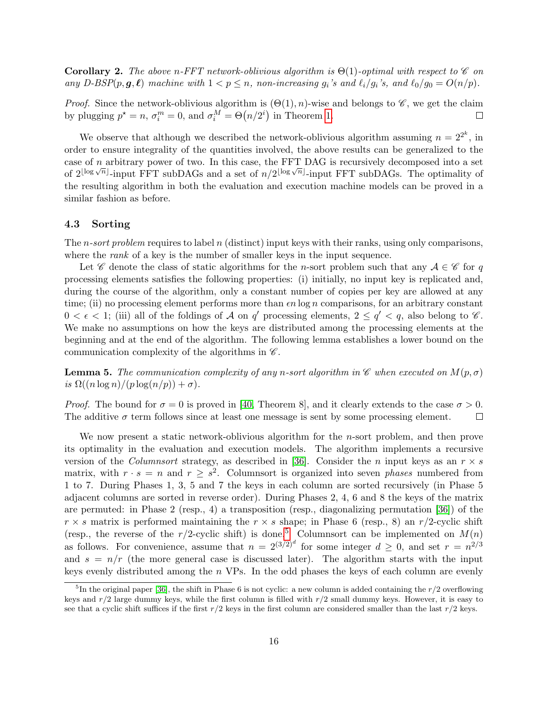Corollary 2. The above n-FFT network-oblivious algorithm is  $\Theta(1)$ -optimal with respect to  $\mathscr C$  on any D-BSP $(p, g, \ell)$  machine with  $1 < p \leq n$ , non-increasing  $g_i$ 's and  $\ell_i/g_i$ 's, and  $\ell_0/g_0 = O(n/p)$ .

*Proof.* Since the network-oblivious algorithm is  $(\Theta(1), n)$ -wise and belongs to  $\mathscr{C}$ , we get the claim by plugging  $p^* = n$ ,  $\sigma_i^m = 0$ , and  $\sigma_i^M = \Theta(n/2^i)$  in Theorem [1.](#page-8-2)  $\Box$ 

We observe that although we described the network-oblivious algorithm assuming  $n = 2^{2^k}$ , in order to ensure integrality of the quantities involved, the above results can be generalized to the case of  $n$  arbitrary power of two. In this case, the FFT DAG is recursively decomposed into a set case of *n* afformally power of two. In this case, the FFT DAG is recursively decomposed into a set of  $n/2^{\lfloor \log \sqrt{n} \rfloor}$ -input FFT subDAGs. The optimality of the resulting algorithm in both the evaluation and execution machine models can be proved in a similar fashion as before.

#### <span id="page-15-0"></span>4.3 Sorting

The *n-sort problem* requires to label *n* (distinct) input keys with their ranks, using only comparisons, where the *rank* of a key is the number of smaller keys in the input sequence.

Let  $\mathscr C$  denote the class of static algorithms for the *n*-sort problem such that any  $\mathcal A \in \mathscr C$  for q processing elements satisfies the following properties: (i) initially, no input key is replicated and, during the course of the algorithm, only a constant number of copies per key are allowed at any time; (ii) no processing element performs more than  $\epsilon n \log n$  comparisons, for an arbitrary constant  $0 < \epsilon < 1$ ; (iii) all of the foldings of A on q' processing elements,  $2 \le q' < q$ , also belong to  $\mathscr{C}$ . We make no assumptions on how the keys are distributed among the processing elements at the beginning and at the end of the algorithm. The following lemma establishes a lower bound on the communication complexity of the algorithms in  $\mathscr{C}$ .

<span id="page-15-2"></span>**Lemma 5.** The communication complexity of any n-sort algorithm in  $\mathscr C$  when executed on  $M(p, \sigma)$ is  $\Omega((n \log n)/(p \log(n/p)) + \sigma)$ .

*Proof.* The bound for  $\sigma = 0$  is proved in [\[40,](#page-32-6) Theorem 8], and it clearly extends to the case  $\sigma > 0$ . The additive  $\sigma$  term follows since at least one message is sent by some processing element.  $\Box$ 

We now present a static network-oblivious algorithm for the  $n$ -sort problem, and then prove its optimality in the evaluation and execution models. The algorithm implements a recursive version of the Columnsort strategy, as described in [\[36\]](#page-32-10). Consider the n input keys as an  $r \times s$ matrix, with  $r \cdot s = n$  and  $r \geq s^2$ . Columnsort is organized into seven *phases* numbered from 1 to 7. During Phases 1, 3, 5 and 7 the keys in each column are sorted recursively (in Phase 5 adjacent columns are sorted in reverse order). During Phases 2, 4, 6 and 8 the keys of the matrix are permuted: in Phase 2 (resp., 4) a transposition (resp., diagonalizing permutation [\[36\]](#page-32-10)) of the  $r \times s$  matrix is performed maintaining the  $r \times s$  shape; in Phase 6 (resp., 8) an  $r/2$ -cyclic shift (resp., the reverse of the r/2-cyclic shift) is done.<sup>[5](#page-15-1)</sup> Columnsort can be implemented on  $M(n)$ as follows. For convenience, assume that  $n = 2^{(3/2)^d}$  for some integer  $d \geq 0$ , and set  $r = n^{2/3}$ and  $s = n/r$  (the more general case is discussed later). The algorithm starts with the input keys evenly distributed among the n VPs. In the odd phases the keys of each column are evenly

<span id="page-15-1"></span><sup>&</sup>lt;sup>5</sup>In the original paper [\[36\]](#page-32-10), the shift in Phase 6 is not cyclic: a new column is added containing the  $r/2$  overflowing keys and  $r/2$  large dummy keys, while the first column is filled with  $r/2$  small dummy keys. However, it is easy to see that a cyclic shift suffices if the first  $r/2$  keys in the first column are considered smaller than the last  $r/2$  keys.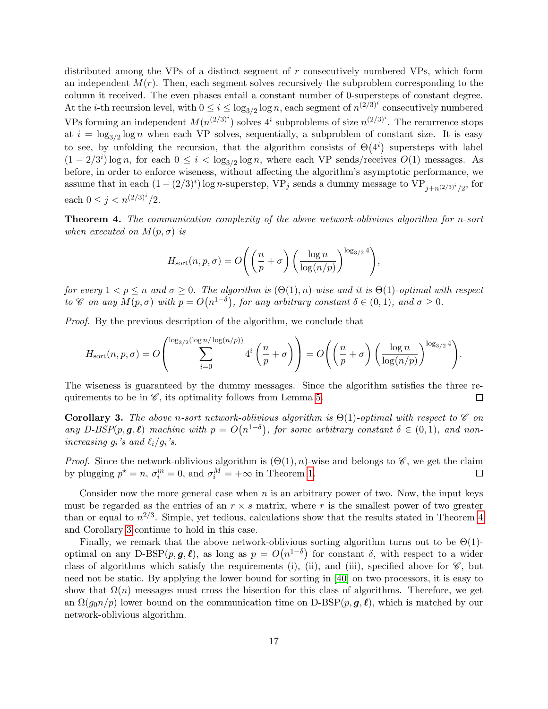distributed among the VPs of a distinct segment of r consecutively numbered VPs, which form an independent  $M(r)$ . Then, each segment solves recursively the subproblem corresponding to the column it received. The even phases entail a constant number of 0-supersteps of constant degree. At the *i*-th recursion level, with  $0 \le i \le \log_{3/2} \log n$ , each segment of  $n^{(2/3)^i}$  consecutively numbered VPs forming an independent  $M(n^{(2/3)^i})$  solves  $4^i$  subproblems of size  $n^{(2/3)^i}$ . The recurrence stops at  $i = \log_{3/2} \log n$  when each VP solves, sequentially, a subproblem of constant size. It is easy to see, by unfolding the recursion, that the algorithm consists of  $\Theta(4^i)$  supersteps with label  $(1-2/3^i)$  log n, for each  $0 \leq i < \log_{3/2} \log n$ , where each VP sends/receives  $O(1)$  messages. As before, in order to enforce wiseness, without affecting the algorithm's asymptotic performance, we assume that in each  $(1 - (2/3)^i)$  log n-superstep,  $VP_j$  sends a dummy message to  $VP_{j+n^{(2/3)^i}/2}$ , for each  $0 \leq j < n^{(2/3)^i}/2$ .

<span id="page-16-0"></span>Theorem 4. The communication complexity of the above network-oblivious algorithm for n-sort when executed on  $M(p, \sigma)$  is

$$
H_{\text{sort}}(n, p, \sigma) = O\left(\left(\frac{n}{p} + \sigma\right) \left(\frac{\log n}{\log(n/p)}\right)^{\log_{3/2} 4}\right),\,
$$

for every  $1 < p \leq n$  and  $\sigma \geq 0$ . The algorithm is  $(\Theta(1), n)$ -wise and it is  $\Theta(1)$ -optimal with respect to C on any  $M(p,\sigma)$  with  $p=O(n^{1-\delta})$ , for any arbitrary constant  $\delta \in (0,1)$ , and  $\sigma \geq 0$ .

Proof. By the previous description of the algorithm, we conclude that

$$
H_{\text{sort}}(n, p, \sigma) = O\left(\sum_{i=0}^{\log_{3/2}(\log n/\log(n/p))} 4^i \left(\frac{n}{p} + \sigma\right)\right) = O\left(\left(\frac{n}{p} + \sigma\right) \left(\frac{\log n}{\log(n/p)}\right)^{\log_{3/2} 4}\right).
$$

The wiseness is guaranteed by the dummy messages. Since the algorithm satisfies the three requirements to be in  $\mathscr{C}$ , its optimality follows from Lemma [5.](#page-15-2)  $\Box$ 

<span id="page-16-1"></span>**Corollary 3.** The above n-sort network-oblivious algorithm is  $\Theta(1)$ -optimal with respect to  $\mathscr C$  on any D-BSP(p, g,  $\ell$ ) machine with  $p = O(n^{1-\delta})$ , for some arbitrary constant  $\delta \in (0,1)$ , and nonincreasing  $g_i$ 's and  $\ell_i/g_i$ 's.

*Proof.* Since the network-oblivious algorithm is  $(\Theta(1), n)$ -wise and belongs to  $\mathscr{C}$ , we get the claim by plugging  $p^* = n$ ,  $\sigma_i^m = 0$ , and  $\sigma_i^M = +\infty$  in Theorem [1.](#page-8-2)  $\Box$ 

Consider now the more general case when  $n$  is an arbitrary power of two. Now, the input keys must be regarded as the entries of an  $r \times s$  matrix, where r is the smallest power of two greater than or equal to  $n^{2/3}$ . Simple, yet tedious, calculations show that the results stated in Theorem [4](#page-16-0) and Corollary [3](#page-16-1) continue to hold in this case.

Finally, we remark that the above network-oblivious sorting algorithm turns out to be  $\Theta(1)$ optimal on any D-BSP $(p, g, \ell)$ , as long as  $p = O(n^{1-\delta})$  for constant  $\delta$ , with respect to a wider class of algorithms which satisfy the requirements (i), (ii), and (iii), specified above for  $\mathscr{C}$ , but need not be static. By applying the lower bound for sorting in [\[40\]](#page-32-6) on two processors, it is easy to show that  $\Omega(n)$  messages must cross the bisection for this class of algorithms. Therefore, we get an  $\Omega(g_0n/p)$  lower bound on the communication time on D-BSP(p,  $g, \ell$ ), which is matched by our network-oblivious algorithm.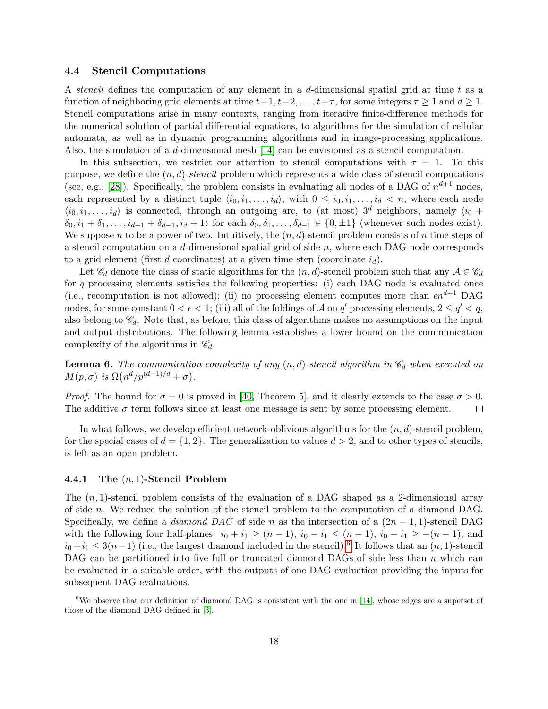#### <span id="page-17-0"></span>4.4 Stencil Computations

A stencil defines the computation of any element in a d-dimensional spatial grid at time t as a function of neighboring grid elements at time  $t-1, t-2, \ldots, t-\tau$ , for some integers  $\tau \geq 1$  and  $d \geq 1$ . Stencil computations arise in many contexts, ranging from iterative finite-difference methods for the numerical solution of partial differential equations, to algorithms for the simulation of cellular automata, as well as in dynamic programming algorithms and in image-processing applications. Also, the simulation of a d-dimensional mesh [\[14\]](#page-31-0) can be envisioned as a stencil computation.

In this subsection, we restrict our attention to stencil computations with  $\tau = 1$ . To this purpose, we define the  $(n, d)$ -stencil problem which represents a wide class of stencil computations (see, e.g., [\[28\]](#page-32-11)). Specifically, the problem consists in evaluating all nodes of a DAG of  $n^{d+1}$  nodes, each represented by a distinct tuple  $\langle i_0, i_1, \ldots, i_d \rangle$ , with  $0 \leq i_0, i_1, \ldots, i_d < n$ , where each node  $\langle i_0, i_1, \ldots, i_d \rangle$  is connected, through an outgoing arc, to (at most)  $3^d$  neighbors, namely  $\langle i_0 +$  $\delta_0, i_1 + \delta_1, \ldots, i_{d-1} + \delta_{d-1}, i_d + 1$  for each  $\delta_0, \delta_1, \ldots, \delta_{d-1} \in \{0, \pm 1\}$  (whenever such nodes exist). We suppose n to be a power of two. Intuitively, the  $(n, d)$ -stencil problem consists of n time steps of a stencil computation on a d-dimensional spatial grid of side  $n$ , where each DAG node corresponds to a grid element (first d coordinates) at a given time step (coordinate  $i_d$ ).

Let  $\mathscr{C}_d$  denote the class of static algorithms for the  $(n, d)$ -stencil problem such that any  $A \in \mathscr{C}_d$ for q processing elements satisfies the following properties: (i) each DAG node is evaluated once (i.e., recomputation is not allowed); (ii) no processing element computes more than  $\epsilon n^{d+1}$  DAG nodes, for some constant  $0 < \epsilon < 1$ ; (iii) all of the foldings of A on q' processing elements,  $2 \le q' < q$ , also belong to  $\mathcal{C}_d$ . Note that, as before, this class of algorithms makes no assumptions on the input and output distributions. The following lemma establishes a lower bound on the communication complexity of the algorithms in  $\mathcal{C}_d$ .

<span id="page-17-2"></span>**Lemma 6.** The communication complexity of any  $(n, d)$ -stencil algorithm in  $\mathscr{C}_d$  when executed on  $M(p,\sigma)$  is  $\Omega\left(n^d/p^{(d-1)/d}+\sigma\right)$ .

*Proof.* The bound for  $\sigma = 0$  is proved in [\[40,](#page-32-6) Theorem 5], and it clearly extends to the case  $\sigma > 0$ . The additive  $\sigma$  term follows since at least one message is sent by some processing element.  $\Box$ 

In what follows, we develop efficient network-oblivious algorithms for the  $(n, d)$ -stencil problem, for the special cases of  $d = \{1, 2\}$ . The generalization to values  $d > 2$ , and to other types of stencils, is left as an open problem.

#### 4.4.1 The  $(n, 1)$ -Stencil Problem

The  $(n, 1)$ -stencil problem consists of the evaluation of a DAG shaped as a 2-dimensional array of side n. We reduce the solution of the stencil problem to the computation of a diamond DAG. Specifically, we define a *diamond DAG* of side n as the intersection of a  $(2n - 1, 1)$ -stencil DAG with the following four half-planes:  $i_0 + i_1 \geq (n-1)$ ,  $i_0 - i_1 \leq (n-1)$ ,  $i_0 - i_1 \geq -(n-1)$ , and  $i_0+i_1 \leq 3(n-1)$  (i.e., the largest diamond included in the stencil).<sup>[6](#page-17-1)</sup> It follows that an  $(n, 1)$ -stencil DAG can be partitioned into five full or truncated diamond DAGs of side less than  $n$  which can be evaluated in a suitable order, with the outputs of one DAG evaluation providing the inputs for subsequent DAG evaluations.

<span id="page-17-1"></span><sup>&</sup>lt;sup>6</sup>We observe that our definition of diamond DAG is consistent with the one in [\[14\]](#page-31-0), whose edges are a superset of those of the diamond DAG defined in [\[3\]](#page-30-3).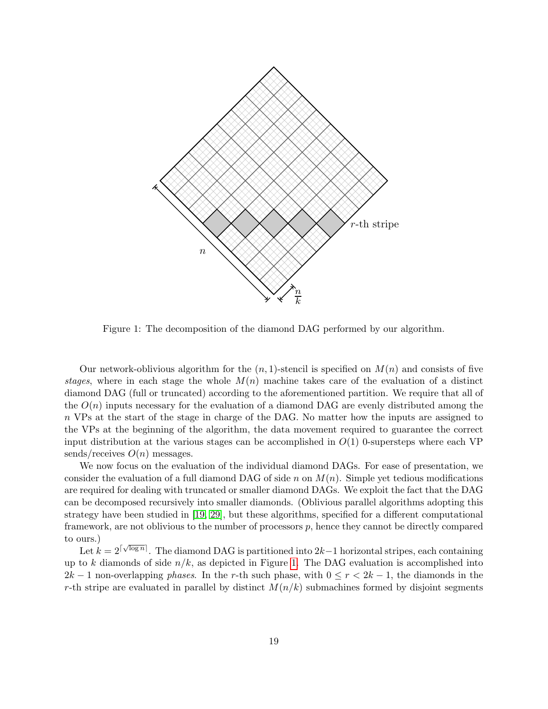

<span id="page-18-0"></span>Figure 1: The decomposition of the diamond DAG performed by our algorithm.

Our network-oblivious algorithm for the  $(n, 1)$ -stencil is specified on  $M(n)$  and consists of five stages, where in each stage the whole  $M(n)$  machine takes care of the evaluation of a distinct diamond DAG (full or truncated) according to the aforementioned partition. We require that all of the  $O(n)$  inputs necessary for the evaluation of a diamond DAG are evenly distributed among the n VPs at the start of the stage in charge of the DAG. No matter how the inputs are assigned to the VPs at the beginning of the algorithm, the data movement required to guarantee the correct input distribution at the various stages can be accomplished in  $O(1)$  0-supersteps where each VP sends/receives  $O(n)$  messages.

We now focus on the evaluation of the individual diamond DAGs. For ease of presentation, we consider the evaluation of a full diamond DAG of side n on  $M(n)$ . Simple yet tedious modifications are required for dealing with truncated or smaller diamond DAGs. We exploit the fact that the DAG can be decomposed recursively into smaller diamonds. (Oblivious parallel algorithms adopting this strategy have been studied in [\[19,](#page-31-10) [29\]](#page-32-12), but these algorithms, specified for a different computational framework, are not oblivious to the number of processors  $p$ , hence they cannot be directly compared to ours.)

Let  $k = 2^{\lceil \sqrt{\log n} \rceil}$ . The diamond DAG is partitioned into  $2k-1$  horizontal stripes, each containing up to k diamonds of side  $n/k$ , as depicted in Figure [1.](#page-18-0) The DAG evaluation is accomplished into  $2k-1$  non-overlapping phases. In the r-th such phase, with  $0 \le r \le 2k-1$ , the diamonds in the r-th stripe are evaluated in parallel by distinct  $M(n/k)$  submachines formed by disjoint segments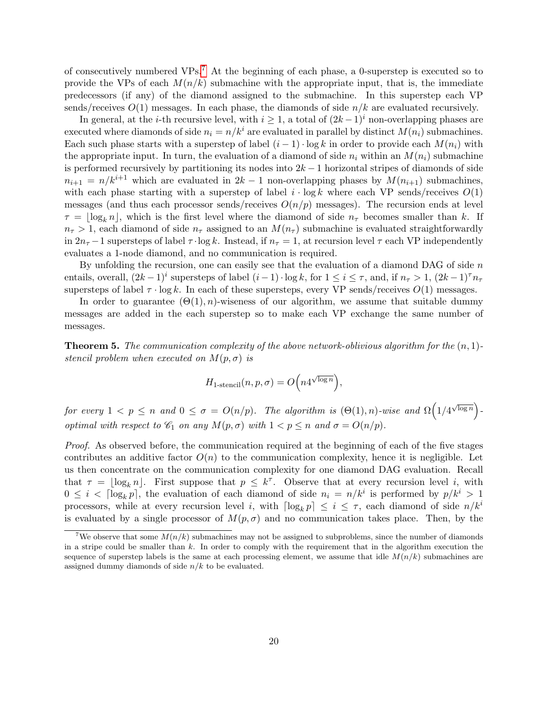of consecutively numbered VPs.[7](#page-19-0) At the beginning of each phase, a 0-superstep is executed so to provide the VPs of each  $M(n/k)$  submachine with the appropriate input, that is, the immediate predecessors (if any) of the diamond assigned to the submachine. In this superstep each VP sends/receives  $O(1)$  messages. In each phase, the diamonds of side  $n/k$  are evaluated recursively.

In general, at the *i*-th recursive level, with  $i \geq 1$ , a total of  $(2k-1)^i$  non-overlapping phases are executed where diamonds of side  $n_i = n/k^i$  are evaluated in parallel by distinct  $M(n_i)$  submachines. Each such phase starts with a superstep of label  $(i-1) \cdot \log k$  in order to provide each  $M(n_i)$  with the appropriate input. In turn, the evaluation of a diamond of side  $n_i$  within an  $M(n_i)$  submachine is performed recursively by partitioning its nodes into  $2k - 1$  horizontal stripes of diamonds of side  $n_{i+1} = n/k^{i+1}$  which are evaluated in  $2k - 1$  non-overlapping phases by  $M(n_{i+1})$  submachines, with each phase starting with a superstep of label  $i \cdot \log k$  where each VP sends/receives  $O(1)$ messages (and thus each processor sends/receives  $O(n/p)$  messages). The recursion ends at level  $\tau = |\log_k n|$ , which is the first level where the diamond of side  $n_{\tau}$  becomes smaller than k. If  $n_{\tau} > 1$ , each diamond of side  $n_{\tau}$  assigned to an  $M(n_{\tau})$  submachine is evaluated straightforwardly in  $2n_{\tau}-1$  supersteps of label  $\tau \cdot \log k$ . Instead, if  $n_{\tau}=1$ , at recursion level  $\tau$  each VP independently evaluates a 1-node diamond, and no communication is required.

By unfolding the recursion, one can easily see that the evaluation of a diamond DAG of side  $n$ entails, overall,  $(2k-1)^i$  supersteps of label  $(i-1) \cdot \log k$ , for  $1 \le i \le \tau$ , and, if  $n_{\tau} > 1$ ,  $(2k-1)^{\tau} n_{\tau}$ supersteps of label  $\tau \cdot \log k$ . In each of these supersteps, every VP sends/receives  $O(1)$  messages.

In order to guarantee  $(\Theta(1), n)$ -wiseness of our algorithm, we assume that suitable dummy messages are added in the each superstep so to make each VP exchange the same number of messages.

<span id="page-19-1"></span>**Theorem 5.** The communication complexity of the above network-oblivious algorithm for the  $(n, 1)$ stencil problem when executed on  $M(p, \sigma)$  is

$$
H_{1\text{-stencil}}(n, p, \sigma) = O\Big(n4^{\sqrt{\log n}}\Big),\,
$$

for every  $1 < p \le n$  and  $0 \le \sigma = O(n/p)$ . The algorithm is  $(\Theta(1), n)$ -wise and  $\Omega\left(1/4\right)$  $\sqrt{\log n}$ optimal with respect to  $\mathcal{C}_1$  on any  $M(p, \sigma)$  with  $1 < p \leq n$  and  $\sigma = O(n/p)$ .

Proof. As observed before, the communication required at the beginning of each of the five stages contributes an additive factor  $O(n)$  to the communication complexity, hence it is negligible. Let us then concentrate on the communication complexity for one diamond DAG evaluation. Recall that  $\tau = \lfloor \log_k n \rfloor$ . First suppose that  $p \leq k^{\tau}$ . Observe that at every recursion level i, with  $0 \leq i < \lceil \log_k p \rceil$ , the evaluation of each diamond of side  $n_i = n/k^i$  is performed by  $p/k^i > 1$ processors, while at every recursion level i, with  $\lceil \log_k p \rceil \leq i \leq \tau$ , each diamond of side  $n/k^i$ is evaluated by a single processor of  $M(p, \sigma)$  and no communication takes place. Then, by the

<span id="page-19-0"></span>We observe that some  $M(n/k)$  submachines may not be assigned to subproblems, since the number of diamonds in a stripe could be smaller than  $k$ . In order to comply with the requirement that in the algorithm execution the sequence of superstep labels is the same at each processing element, we assume that idle  $M(n/k)$  submachines are assigned dummy diamonds of side  $n/k$  to be evaluated.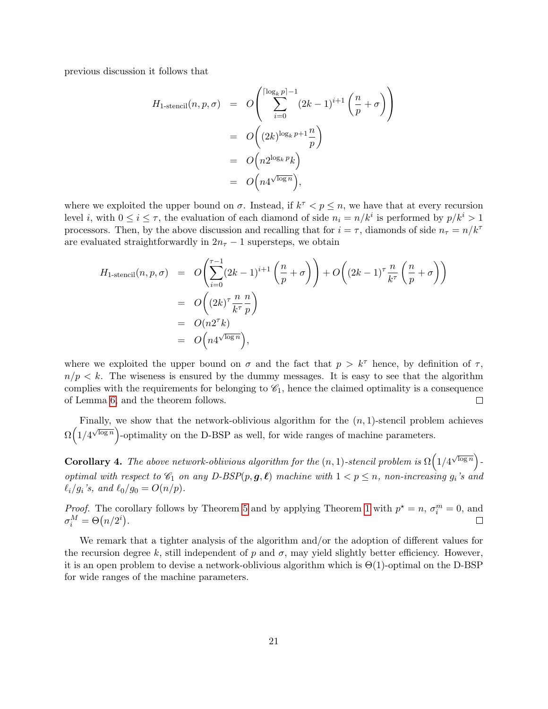previous discussion it follows that

$$
H_{1\text{-stencil}}(n, p, \sigma) = O\left(\sum_{i=0}^{\lceil \log_k p \rceil - 1} (2k - 1)^{i+1} \left(\frac{n}{p} + \sigma\right)\right)
$$
  

$$
= O\left((2k)^{\log_k p + 1} \frac{n}{p}\right)
$$
  

$$
= O\left(n 2^{\log_k p} k\right)
$$
  

$$
= O\left(n 4^{\sqrt{\log n}}\right),
$$

where we exploited the upper bound on  $\sigma$ . Instead, if  $k^{\tau} < p \leq n$ , we have that at every recursion level *i*, with  $0 \le i \le \tau$ , the evaluation of each diamond of side  $n_i = n/k^i$  is performed by  $p/k^i > 1$ processors. Then, by the above discussion and recalling that for  $i = \tau$ , diamonds of side  $n_{\tau} = n/k^{\tau}$ are evaluated straightforwardly in  $2n<sub>\tau</sub> - 1$  supersteps, we obtain

$$
H_{1\text{-stencil}}(n, p, \sigma) = O\left(\sum_{i=0}^{\tau-1} (2k-1)^{i+1} \left(\frac{n}{p} + \sigma\right)\right) + O\left((2k-1)^{\tau} \frac{n}{k^{\tau}} \left(\frac{n}{p} + \sigma\right)\right)
$$
  
=  $O\left((2k)^{\tau} \frac{n}{k^{\tau}} \frac{n}{p}\right)$   
=  $O(n2^{\tau}k)$   
=  $O\left(n4^{\sqrt{\log n}}\right)$ ,

where we exploited the upper bound on  $\sigma$  and the fact that  $p > k^{\tau}$  hence, by definition of  $\tau$ ,  $n/p < k$ . The wiseness is ensured by the dummy messages. It is easy to see that the algorithm complies with the requirements for belonging to  $\mathscr{C}_1$ , hence the claimed optimality is a consequence of Lemma [6,](#page-17-2) and the theorem follows.  $\Box$ 

Finally, we show that the network-oblivious algorithm for the  $(n, 1)$ -stencil problem achieves  $\Omega\Big(1/4$  $\sqrt{\log n}$ )-optimality on the D-BSP as well, for wide ranges of machine parameters.

**Corollary 4.** The above network-oblivious algorithm for the  $(n, 1)$ -stencil problem is  $\Omega(1/4)$  $\sqrt{\log n}$ optimal with respect to  $\mathscr{C}_1$  on any D-BSP $(p, g, \ell)$  machine with  $1 < p \leq n$ , non-increasing  $g_i$ 's and  $\ell_i/g_i$ 's, and  $\ell_0/g_0 = O(n/p)$ .

*Proof.* The corollary follows by Theorem [5](#page-19-1) and by applying Theorem [1](#page-8-2) with  $p^* = n$ ,  $\sigma_i^m = 0$ , and  $\sigma_i^M = \Theta\big(n/2^i\big).$  $\Box$ 

We remark that a tighter analysis of the algorithm and/or the adoption of different values for the recursion degree k, still independent of p and  $\sigma$ , may yield slightly better efficiency. However, it is an open problem to devise a network-oblivious algorithm which is  $\Theta(1)$ -optimal on the D-BSP for wide ranges of the machine parameters.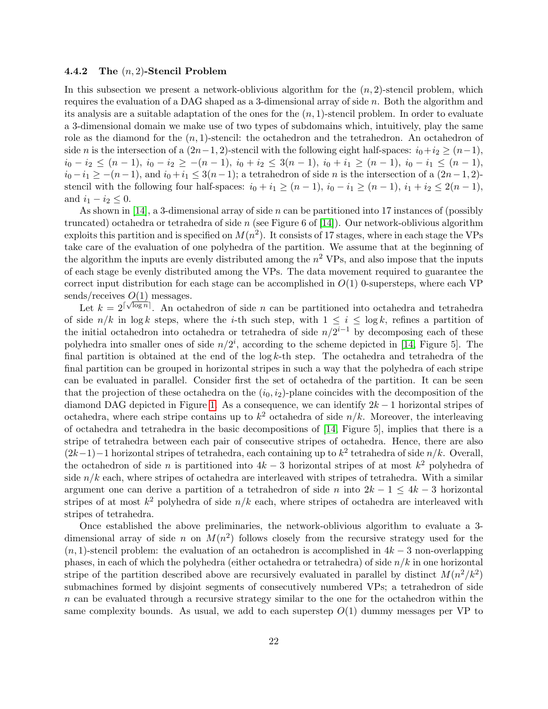#### 4.4.2 The  $(n, 2)$ -Stencil Problem

In this subsection we present a network-oblivious algorithm for the  $(n, 2)$ -stencil problem, which requires the evaluation of a DAG shaped as a 3-dimensional array of side  $n$ . Both the algorithm and its analysis are a suitable adaptation of the ones for the  $(n, 1)$ -stencil problem. In order to evaluate a 3-dimensional domain we make use of two types of subdomains which, intuitively, play the same role as the diamond for the  $(n, 1)$ -stencil: the octahedron and the tetrahedron. An octahedron of side *n* is the intersection of a  $(2n-1, 2)$ -stencil with the following eight half-spaces:  $i_0+i_2 \geq (n-1)$ ,  $i_0 - i_2 \leq (n-1), i_0 - i_2 \geq -(n-1), i_0 + i_2 \leq 3(n-1), i_0 + i_1 \geq (n-1), i_0 - i_1 \leq (n-1),$  $i_0 - i_1 \ge -(n-1)$ , and  $i_0 + i_1 \le 3(n-1)$ ; a tetrahedron of side n is the intersection of a  $(2n-1, 2)$ stencil with the following four half-spaces:  $i_0 + i_1 \geq (n-1), i_0 - i_1 \geq (n-1), i_1 + i_2 \leq 2(n-1),$ and  $i_1 - i_2 \leq 0$ .

As shown in  $[14]$ , a 3-dimensional array of side n can be partitioned into 17 instances of (possibly truncated) octahedra or tetrahedra of side n (see Figure 6 of [\[14\]](#page-31-0)). Our network-oblivious algorithm exploits this partition and is specified on  $M(n^2)$ . It consists of 17 stages, where in each stage the VPs take care of the evaluation of one polyhedra of the partition. We assume that at the beginning of the algorithm the inputs are evenly distributed among the  $n^2$  VPs, and also impose that the inputs of each stage be evenly distributed among the VPs. The data movement required to guarantee the correct input distribution for each stage can be accomplished in  $O(1)$  0-supersteps, where each VP sends/receives  $O(1)$  messages.

Let  $k = 2^{\lceil \sqrt{\log n} \rceil}$ . An octahedron of side n can be partitioned into octahedra and tetrahedra of side  $n/k$  in log k steps, where the *i*-th such step, with  $1 \leq i \leq \log k$ , refines a partition of the initial octahedron into octahedra or tetrahedra of side  $n/2^{i-1}$  by decomposing each of these polyhedra into smaller ones of side  $n/2^i$ , according to the scheme depicted in [\[14,](#page-31-0) Figure 5]. The final partition is obtained at the end of the  $\log k$ -th step. The octahedra and tetrahedra of the final partition can be grouped in horizontal stripes in such a way that the polyhedra of each stripe can be evaluated in parallel. Consider first the set of octahedra of the partition. It can be seen that the projection of these octahedra on the  $(i_0, i_2)$ -plane coincides with the decomposition of the diamond DAG depicted in Figure [1.](#page-18-0) As a consequence, we can identify  $2k - 1$  horizontal stripes of octahedra, where each stripe contains up to  $k^2$  octahedra of side  $n/k$ . Moreover, the interleaving of octahedra and tetrahedra in the basic decompositions of [\[14,](#page-31-0) Figure 5], implies that there is a stripe of tetrahedra between each pair of consecutive stripes of octahedra. Hence, there are also  $(2k-1)-1$  horizontal stripes of tetrahedra, each containing up to  $k^2$  tetrahedra of side  $n/k$ . Overall, the octahedron of side n is partitioned into  $4k-3$  horizontal stripes of at most  $k^2$  polyhedra of side  $n/k$  each, where stripes of octahedra are interleaved with stripes of tetrahedra. With a similar argument one can derive a partition of a tetrahedron of side n into  $2k-1 \leq 4k-3$  horizontal stripes of at most  $k^2$  polyhedra of side  $n/k$  each, where stripes of octahedra are interleaved with stripes of tetrahedra.

Once established the above preliminaries, the network-oblivious algorithm to evaluate a 3 dimensional array of side n on  $M(n^2)$  follows closely from the recursive strategy used for the  $(n, 1)$ -stencil problem: the evaluation of an octahedron is accomplished in  $4k-3$  non-overlapping phases, in each of which the polyhedra (either octahedra or tetrahedra) of side  $n/k$  in one horizontal stripe of the partition described above are recursively evaluated in parallel by distinct  $M(n^2/k^2)$ submachines formed by disjoint segments of consecutively numbered VPs; a tetrahedron of side n can be evaluated through a recursive strategy similar to the one for the octahedron within the same complexity bounds. As usual, we add to each superstep  $O(1)$  dummy messages per VP to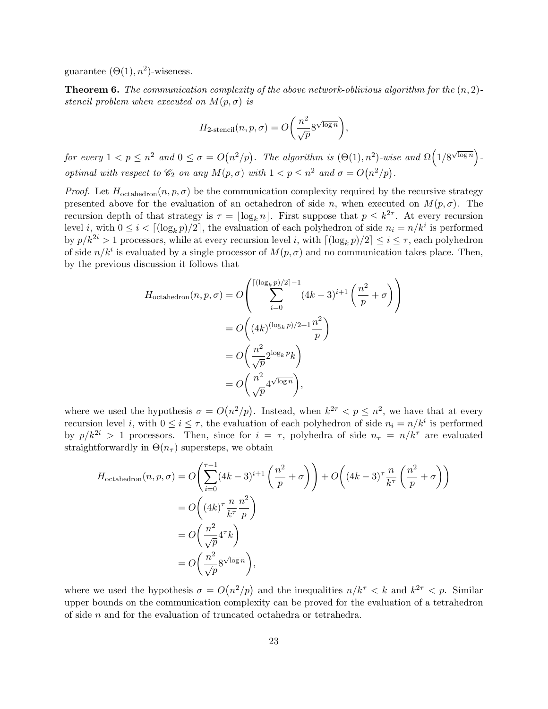guarantee  $(\Theta(1), n^2)$ -wiseness.

<span id="page-22-0"></span>**Theorem 6.** The communication complexity of the above network-oblivious algorithm for the  $(n, 2)$ stencil problem when executed on  $M(p, \sigma)$  is

$$
H_{2\text{-stencil}}(n, p, \sigma) = O\bigg(\frac{n^2}{\sqrt{p}} 8^{\sqrt{\log n}}\bigg),
$$

for every  $1 < p \leq n^2$  and  $0 \leq \sigma = O(n^2/p)$ . The algorithm is  $(\Theta(1), n^2)$ -wise and  $\Omega\left(1/8\right)$  $\sqrt{\log n}$ *optimal with respect to*  $\mathcal{C}_2$  *on any*  $M(p, \sigma)$  *with*  $1 < p \leq n^2$  *and*  $\sigma = O(n^2/p)$ *.* 

*Proof.* Let  $H_{\text{octahedron}}(n, p, \sigma)$  be the communication complexity required by the recursive strategy presented above for the evaluation of an octahedron of side n, when executed on  $M(p, \sigma)$ . The recursion depth of that strategy is  $\tau = \lfloor \log_k n \rfloor$ . First suppose that  $p \leq k^{2\tau}$ . At every recursion level *i*, with  $0 \leq i < \lceil (\log_k p)/2 \rceil$ , the evaluation of each polyhedron of side  $n_i = n/k^i$  is performed by  $p/k^{2i} > 1$  processors, while at every recursion level i, with  $\lfloor (\log_k p)/2 \rfloor \le i \le \tau$ , each polyhedron of side  $n/k<sup>i</sup>$  is evaluated by a single processor of  $M(p, \sigma)$  and no communication takes place. Then, by the previous discussion it follows that

$$
H_{\text{octahedron}}(n, p, \sigma) = O\left(\sum_{i=0}^{\lceil (\log_k p)/2 \rceil - 1} (4k - 3)^{i+1} \left(\frac{n^2}{p} + \sigma\right)\right)
$$

$$
= O\left((4k)^{(\log_k p)/2 + 1} \frac{n^2}{p}\right)
$$

$$
= O\left(\frac{n^2}{\sqrt{p}} 2^{\log_k p} k\right)
$$

$$
= O\left(\frac{n^2}{\sqrt{p}} 4^{\sqrt{\log n}}\right),
$$

where we used the hypothesis  $\sigma = O(n^2/p)$ . Instead, when  $k^{2\tau} < p \leq n^2$ , we have that at every recursion level *i*, with  $0 \le i \le \tau$ , the evaluation of each polyhedron of side  $n_i = n/k^i$  is performed by  $p/k^{2i} > 1$  processors. Then, since for  $i = \tau$ , polyhedra of side  $n_{\tau} = n/k^{\tau}$  are evaluated straightforwardly in  $\Theta(n_\tau)$  supersteps, we obtain

$$
H_{\text{octahedron}}(n, p, \sigma) = O\left(\sum_{i=0}^{\tau-1} (4k-3)^{i+1} \left(\frac{n^2}{p} + \sigma\right)\right) + O\left((4k-3)^{\tau} \frac{n}{k^{\tau}} \left(\frac{n^2}{p} + \sigma\right)\right)
$$
  
=  $O\left((4k)^{\tau} \frac{n}{k^{\tau}} \frac{n^2}{p}\right)$   
=  $O\left(\frac{n^2}{\sqrt{p}} 4^{\tau} k\right)$   
=  $O\left(\frac{n^2}{\sqrt{p}} 8^{\sqrt{\log n}}\right)$ ,

where we used the hypothesis  $\sigma = O(n^2/p)$  and the inequalities  $n/k^{\tau} < k$  and  $k^{2\tau} < p$ . Similar upper bounds on the communication complexity can be proved for the evaluation of a tetrahedron of side n and for the evaluation of truncated octahedra or tetrahedra.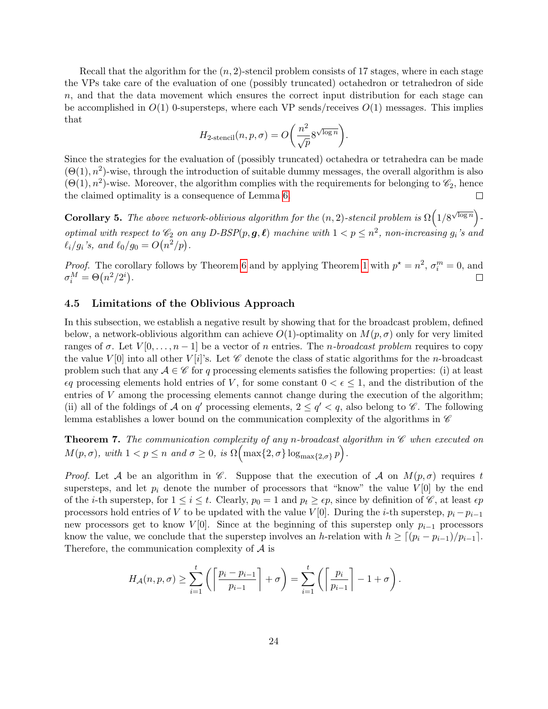Recall that the algorithm for the  $(n, 2)$ -stencil problem consists of 17 stages, where in each stage the VPs take care of the evaluation of one (possibly truncated) octahedron or tetrahedron of side n, and that the data movement which ensures the correct input distribution for each stage can be accomplished in  $O(1)$  0-supersteps, where each VP sends/receives  $O(1)$  messages. This implies that

$$
H_{2\text{-stencil}}(n, p, \sigma) = O\bigg(\frac{n^2}{\sqrt{p}} 8^{\sqrt{\log n}}\bigg).
$$

Since the strategies for the evaluation of (possibly truncated) octahedra or tetrahedra can be made  $(\Theta(1), n^2)$ -wise, through the introduction of suitable dummy messages, the overall algorithm is also  $(\Theta(1), n^2)$ -wise. Moreover, the algorithm complies with the requirements for belonging to  $\mathscr{C}_2$ , hence the claimed optimality is a consequence of Lemma [6.](#page-17-2)  $\Box$ 

**Corollary 5.** The above network-oblivious algorithm for the  $(n, 2)$ -stencil problem is  $\Omega(1/8)$  $\sqrt{\log n}$ optimal with respect to  $\mathscr{C}_2$  on any D-BSP $(p, \textbf{g}, \ell)$  machine with  $1 < p \leq n^2$ , non-increasing  $g_i$ 's and  $\ell_i/g_i$ 's, and  $\ell_0/g_0 = O(n^2/p)$ .

*Proof.* The corollary follows by Theorem [6](#page-22-0) and by applying Theorem [1](#page-8-2) with  $p^* = n^2$ ,  $\sigma_i^m = 0$ , and  $\sigma_i^M = \Theta\big(n^2/2^i\big).$  $\Box$ 

#### <span id="page-23-0"></span>4.5 Limitations of the Oblivious Approach

In this subsection, we establish a negative result by showing that for the broadcast problem, defined below, a network-oblivious algorithm can achieve  $O(1)$ -optimality on  $M(p, \sigma)$  only for very limited ranges of  $\sigma$ . Let  $V[0, \ldots, n-1]$  be a vector of n entries. The n-broadcast problem requires to copy the value  $V[0]$  into all other  $V[i]$ 's. Let  $\mathscr C$  denote the class of static algorithms for the *n*-broadcast problem such that any  $A \in \mathscr{C}$  for q processing elements satisfies the following properties: (i) at least  $\epsilon q$  processing elements hold entries of V, for some constant  $0 < \epsilon \leq 1$ , and the distribution of the entries of  $V$  among the processing elements cannot change during the execution of the algorithm; (ii) all of the foldings of A on q' processing elements,  $2 \le q' < q$ , also belong to  $\mathscr{C}$ . The following lemma establishes a lower bound on the communication complexity of the algorithms in  $\mathscr C$ 

<span id="page-23-1"></span>**Theorem 7.** The communication complexity of any n-broadcast algorithm in  $\mathscr C$  when executed on  $M(p, \sigma)$ , with  $1 < p \leq n$  and  $\sigma \geq 0$ , is  $\Omega\left(\max\{2, \sigma\} \log_{\max\{2, \sigma\}} p\right)$ .

*Proof.* Let A be an algorithm in  $\mathscr{C}$ . Suppose that the execution of A on  $M(p,\sigma)$  requires t supersteps, and let  $p_i$  denote the number of processors that "know" the value  $V[0]$  by the end of the *i*-th superstep, for  $1 \le i \le t$ . Clearly,  $p_0 = 1$  and  $p_t \ge \epsilon p$ , since by definition of  $\mathscr{C}$ , at least  $\epsilon p$ processors hold entries of V to be updated with the value V[0]. During the *i*-th superstep,  $p_i - p_{i-1}$ new processors get to know V[0]. Since at the beginning of this superstep only  $p_{i-1}$  processors know the value, we conclude that the superstep involves an h-relation with  $h \geq \lfloor (p_i - p_{i-1})/p_{i-1} \rfloor$ . Therefore, the communication complexity of  $A$  is

$$
H_{\mathcal{A}}(n, p, \sigma) \geq \sum_{i=1}^{t} \left( \left\lceil \frac{p_i - p_{i-1}}{p_{i-1}} \right\rceil + \sigma \right) = \sum_{i=1}^{t} \left( \left\lceil \frac{p_i}{p_{i-1}} \right\rceil - 1 + \sigma \right).
$$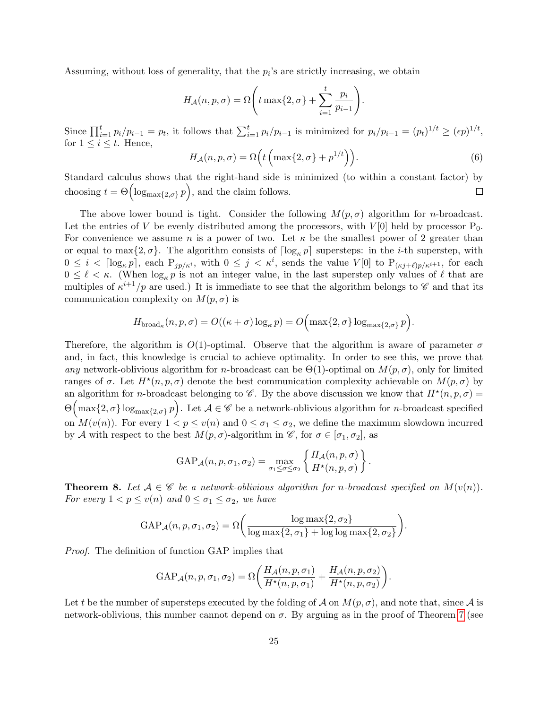Assuming, without loss of generality, that the  $p_i$ 's are strictly increasing, we obtain

$$
H_{\mathcal{A}}(n, p, \sigma) = \Omega\left(t \max\{2, \sigma\} + \sum_{i=1}^{t} \frac{p_i}{p_{i-1}}\right)
$$

Since  $\prod_{i=1}^t p_i/p_{i-1} = p_t$ , it follows that  $\sum_{i=1}^t p_i/p_{i-1}$  is minimized for  $p_i/p_{i-1} = (p_t)^{1/t} \geq (\epsilon p)^{1/t}$ , for  $1 \leq i \leq t$ . Hence,

<span id="page-24-0"></span>
$$
H_{\mathcal{A}}(n, p, \sigma) = \Omega\left(t\left(\max\{2, \sigma\} + p^{1/t}\right)\right). \tag{6}
$$

.

.

Standard calculus shows that the right-hand side is minimized (to within a constant factor) by choosing  $t = \Theta\left(\log_{\max\{2,\sigma\}} p\right)$ , and the claim follows.  $\Box$ 

The above lower bound is tight. Consider the following  $M(p, \sigma)$  algorithm for *n*-broadcast. Let the entries of V be evenly distributed among the processors, with  $V[0]$  held by processor  $P_0$ . For convenience we assume n is a power of two. Let  $\kappa$  be the smallest power of 2 greater than or equal to max $\{2,\sigma\}$ . The algorithm consists of  $\lceil \log_\kappa p \rceil$  supersteps: in the *i*-th superstep, with  $0 \leq i < \lceil \log_{\kappa} p \rceil$ , each  $P_{jp/\kappa^{i}}$ , with  $0 \leq j < \kappa^{i}$ , sends the value  $V[0]$  to  $P_{(\kappa j + \ell)p/\kappa^{i+1}}$ , for each  $0 \leq \ell < \kappa$ . (When  $\log_{\kappa} p$  is not an integer value, in the last superstep only values of  $\ell$  that are multiples of  $\kappa^{i+1}/p$  are used.) It is immediate to see that the algorithm belongs to  $\mathscr C$  and that its communication complexity on  $M(p, \sigma)$  is

$$
H_{\text{broad}_{\kappa}}(n, p, \sigma) = O((\kappa + \sigma) \log_{\kappa} p) = O\Big(\max\{2, \sigma\} \log_{\max\{2, \sigma\}} p\Big).
$$

Therefore, the algorithm is  $O(1)$ -optimal. Observe that the algorithm is aware of parameter  $\sigma$ and, in fact, this knowledge is crucial to achieve optimality. In order to see this, we prove that any network-oblivious algorithm for n-broadcast can be  $\Theta(1)$ -optimal on  $M(p,\sigma)$ , only for limited ranges of  $\sigma$ . Let  $H^*(n, p, \sigma)$  denote the best communication complexity achievable on  $M(p, \sigma)$  by an algorithm for *n*-broadcast belonging to  $\mathscr{C}$ . By the above discussion we know that  $H^*(n, p, \sigma) =$  $\Theta\left(\max\{2,\sigma\}\log_{\max\{2,\sigma\}} p\right)$ . Let  $\mathcal{A}\in\mathscr{C}$  be a network-oblivious algorithm for *n*-broadcast specified on  $M(v(n))$ . For every  $1 \le p \le v(n)$  and  $0 \le \sigma_1 \le \sigma_2$ , we define the maximum slowdown incurred by A with respect to the best  $M(p, \sigma)$ -algorithm in  $\mathscr{C}$ , for  $\sigma \in [\sigma_1, \sigma_2]$ , as

$$
GAP_{\mathcal{A}}(n, p, \sigma_1, \sigma_2) = \max_{\sigma_1 \leq \sigma \leq \sigma_2} \left\{ \frac{H_{\mathcal{A}}(n, p, \sigma)}{H^{\star}(n, p, \sigma)} \right\}
$$

**Theorem 8.** Let  $A \in \mathscr{C}$  be a network-oblivious algorithm for n-broadcast specified on  $M(v(n))$ . For every  $1 < p \le v(n)$  and  $0 \le \sigma_1 \le \sigma_2$ , we have

$$
GAP_{\mathcal{A}}(n, p, \sigma_1, \sigma_2) = \Omega\left(\frac{\log \max\{2, \sigma_2\}}{\log \max\{2, \sigma_1\} + \log \log \max\{2, \sigma_2\}}\right).
$$

Proof. The definition of function GAP implies that

$$
GAP_{\mathcal{A}}(n, p, \sigma_1, \sigma_2) = \Omega \bigg( \frac{H_{\mathcal{A}}(n, p, \sigma_1)}{H^{\star}(n, p, \sigma_1)} + \frac{H_{\mathcal{A}}(n, p, \sigma_2)}{H^{\star}(n, p, \sigma_2)} \bigg).
$$

Let t be the number of supersteps executed by the folding of A on  $M(p, \sigma)$ , and note that, since A is network-oblivious, this number cannot depend on  $\sigma$ . By arguing as in the proof of Theorem [7](#page-23-1) (see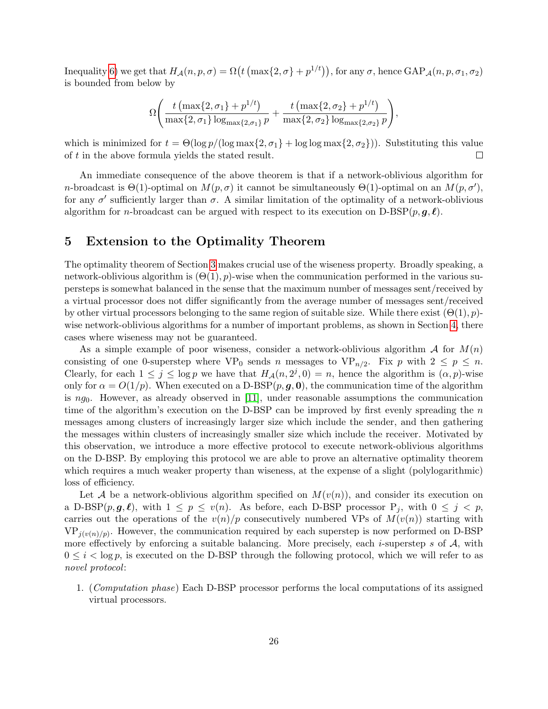Inequality [6\)](#page-24-0) we get that  $H_{\mathcal{A}}(n,p,\sigma) = \Omega(t \left( \max\{2,\sigma\} + p^{1/t} \right)),$  for any  $\sigma$ , hence  ${\rm GAP}_{\mathcal{A}}(n,p,\sigma_1,\sigma_2)$ is bounded from below by

$$
\Omega\Bigg(\frac{t\left(\max\{2,\sigma_1\}+p^{1/t}\right)}{\max\{2,\sigma_1\}\log_{\max\{2,\sigma_1\}} p}+\frac{t\left(\max\{2,\sigma_2\}+p^{1/t}\right)}{\max\{2,\sigma_2\}\log_{\max\{2,\sigma_2\}} p}\Bigg),
$$

which is minimized for  $t = \Theta(\log p/(\log \max\{2, \sigma_1\} + \log \log \max\{2, \sigma_2\}))$ . Substituting this value of t in the above formula yields the stated result.  $\Box$ 

An immediate consequence of the above theorem is that if a network-oblivious algorithm for *n*-broadcast is  $\Theta(1)$ -optimal on  $M(p, \sigma)$  it cannot be simultaneously  $\Theta(1)$ -optimal on an  $M(p, \sigma')$ , for any  $\sigma'$  sufficiently larger than  $\sigma$ . A similar limitation of the optimality of a network-oblivious algorithm for *n*-broadcast can be argued with respect to its execution on D-BSP $(p, g, \ell)$ .

## <span id="page-25-0"></span>5 Extension to the Optimality Theorem

The optimality theorem of Section [3](#page-6-0) makes crucial use of the wiseness property. Broadly speaking, a network-oblivious algorithm is  $(\Theta(1), p)$ -wise when the communication performed in the various supersteps is somewhat balanced in the sense that the maximum number of messages sent/received by a virtual processor does not differ significantly from the average number of messages sent/received by other virtual processors belonging to the same region of suitable size. While there exist  $(\Theta(1), p)$ wise network-oblivious algorithms for a number of important problems, as shown in Section [4,](#page-11-0) there cases where wiseness may not be guaranteed.

As a simple example of poor wiseness, consider a network-oblivious algorithm  $\mathcal A$  for  $M(n)$ consisting of one 0-superstep where  $VP_0$  sends n messages to  $VP_{n/2}$ . Fix p with  $2 \le p \le n$ . Clearly, for each  $1 \leq j \leq \log p$  we have that  $H_{\mathcal{A}}(n, 2^j, 0) = n$ , hence the algorithm is  $(\alpha, p)$ -wise only for  $\alpha = O(1/p)$ . When executed on a D-BSP $(p, g, 0)$ , the communication time of the algorithm is  $ng_0$ . However, as already observed in [\[11\]](#page-30-4), under reasonable assumptions the communication time of the algorithm's execution on the D-BSP can be improved by first evenly spreading the  $n$ messages among clusters of increasingly larger size which include the sender, and then gathering the messages within clusters of increasingly smaller size which include the receiver. Motivated by this observation, we introduce a more effective protocol to execute network-oblivious algorithms on the D-BSP. By employing this protocol we are able to prove an alternative optimality theorem which requires a much weaker property than wiseness, at the expense of a slight (polylogarithmic) loss of efficiency.

Let A be a network-oblivious algorithm specified on  $M(v(n))$ , and consider its execution on a D-BSP $(p, g, \ell)$ , with  $1 \le p \le v(n)$ . As before, each D-BSP processor  $P_j$ , with  $0 \le j \le p$ , carries out the operations of the  $v(n)/p$  consecutively numbered VPs of  $M(v(n))$  starting with  $VP_{j(v(n)/p)}$ . However, the communication required by each superstep is now performed on D-BSP more effectively by enforcing a suitable balancing. More precisely, each *i*-superstep s of  $A$ , with  $0 \leq i < \log p$ , is executed on the D-BSP through the following protocol, which we will refer to as novel protocol:

1. (Computation phase) Each D-BSP processor performs the local computations of its assigned virtual processors.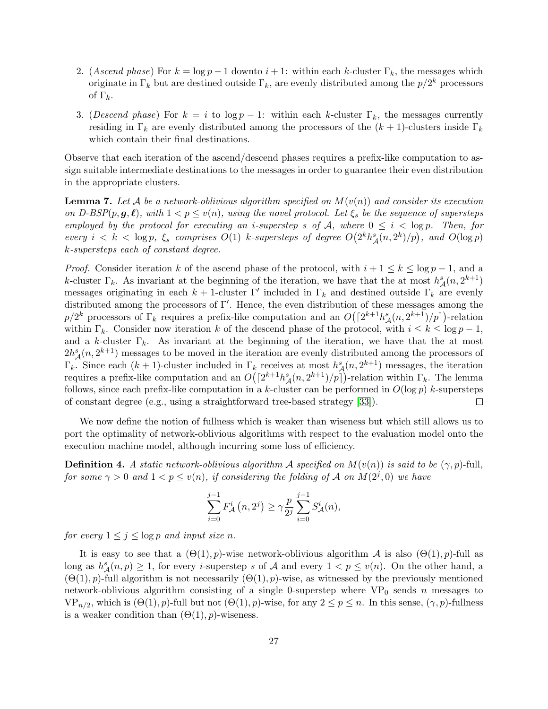- 2. (Ascend phase) For  $k = \log p 1$  downto  $i + 1$ : within each k-cluster  $\Gamma_k$ , the messages which originate in  $\Gamma_k$  but are destined outside  $\Gamma_k$ , are evenly distributed among the  $p/2^k$  processors of  $\Gamma_k$ .
- 3. (Descend phase) For  $k = i$  to  $\log p 1$ : within each k-cluster  $\Gamma_k$ , the messages currently residing in Γ<sub>k</sub> are evenly distributed among the processors of the  $(k + 1)$ -clusters inside Γ<sub>k</sub> which contain their final destinations.

Observe that each iteration of the ascend/descend phases requires a prefix-like computation to assign suitable intermediate destinations to the messages in order to guarantee their even distribution in the appropriate clusters.

<span id="page-26-0"></span>**Lemma 7.** Let A be a network-oblivious algorithm specified on  $M(v(n))$  and consider its execution on D-BSP(p,  $g, \ell$ ), with  $1 < p \le v(n)$ , using the novel protocol. Let  $\xi_s$  be the sequence of supersteps employed by the protocol for executing an *i*-superstep s of A, where  $0 \leq i < \log p$ . Then, for every  $i < k < \log p$ ,  $\xi_s$  comprises  $O(1)$  k-supersteps of degree  $O(2^k h^s_{\mathcal{A}}(n, 2^k)/p)$ , and  $O(\log p)$ k-supersteps each of constant degree.

*Proof.* Consider iteration k of the ascend phase of the protocol, with  $i + 1 \leq k \leq \log p - 1$ , and a k-cluster  $\Gamma_k$ . As invariant at the beginning of the iteration, we have that the at most  $h^s_{\mathcal{A}}(n, 2^{k+1})$ messages originating in each  $k + 1$ -cluster Γ' included in Γ<sub>k</sub> and destined outside Γ<sub>k</sub> are evenly distributed among the processors of  $\Gamma'$ . Hence, the even distribution of these messages among the  $p/2^k$  processors of  $\Gamma_k$  requires a prefix-like computation and an  $O([2^{k+1}h^s_A(n, 2^{k+1})/p])$ -relation within  $\Gamma_k$ . Consider now iteration k of the descend phase of the protocol, with  $i \leq k \leq \log p - 1$ , and a k-cluster  $\Gamma_k$ . As invariant at the beginning of the iteration, we have that the at most  $2h^s_{\mathcal{A}}(n, 2^{k+1})$  messages to be moved in the iteration are evenly distributed among the processors of  $\Gamma_k$ . Since each  $(k+1)$ -cluster included in  $\Gamma_k$  receives at most  $h^s_{\mathcal{A}}(n, 2^{k+1})$  messages, the iteration requires a prefix-like computation and an  $O([2^{k+1}h_A^s(n, 2^{k+1})/p])$ -relation within  $\Gamma_k$ . The lemma follows, since each prefix-like computation in a k-cluster can be performed in  $O(\log p)$  k-supersteps of constant degree (e.g., using a straightforward tree-based strategy [\[33\]](#page-32-13)).  $\Box$ 

We now define the notion of fullness which is weaker than wiseness but which still allows us to port the optimality of network-oblivious algorithms with respect to the evaluation model onto the execution machine model, although incurring some loss of efficiency.

**Definition 4.** A static network-oblivious algorithm A specified on  $M(v(n))$  is said to be  $(\gamma, p)$ -full, for some  $\gamma > 0$  and  $1 < p \le v(n)$ , if considering the folding of A on  $M(2^j, 0)$  we have

$$
\sum_{i=0}^{j-1} F_{\mathcal{A}}^{i} (n, 2^{j}) \ge \gamma \frac{p}{2^{j}} \sum_{i=0}^{j-1} S_{\mathcal{A}}^{i}(n),
$$

for every  $1 \leq j \leq \log p$  and input size n.

It is easy to see that a  $(\Theta(1), p)$ -wise network-oblivious algorithm A is also  $(\Theta(1), p)$ -full as long as  $h^s_{\mathcal{A}}(n,p) \geq 1$ , for every *i*-superstep s of A and every  $1 < p \leq v(n)$ . On the other hand, a  $(\Theta(1), p)$ -full algorithm is not necessarily  $(\Theta(1), p)$ -wise, as witnessed by the previously mentioned network-oblivious algorithm consisting of a single 0-superstep where  $VP_0$  sends n messages to  $VP_{n/2}$ , which is  $(\Theta(1), p)$ -full but not  $(\Theta(1), p)$ -wise, for any  $2 \le p \le n$ . In this sense,  $(\gamma, p)$ -fullness is a weaker condition than  $(\Theta(1), p)$ -wiseness.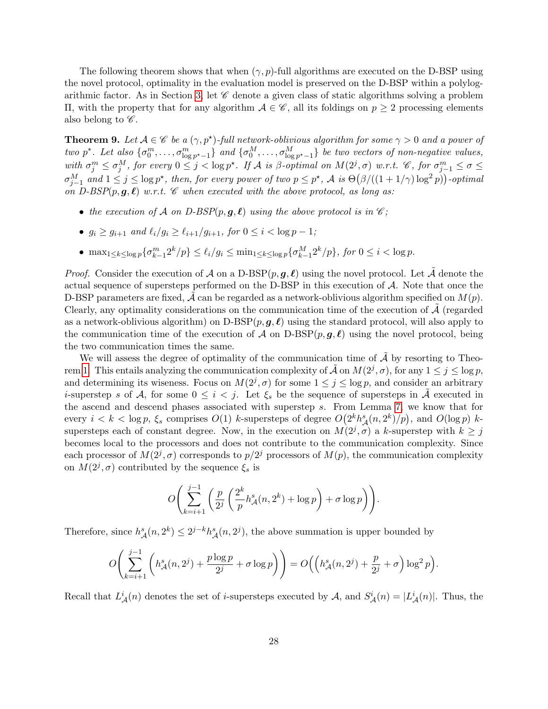The following theorem shows that when  $(\gamma, p)$ -full algorithms are executed on the D-BSP using the novel protocol, optimality in the evaluation model is preserved on the D-BSP within a polylog-arithmic factor. As in Section [3,](#page-6-0) let  $\mathscr C$  denote a given class of static algorithms solving a problem Π, with the property that for any algorithm  $\mathcal{A} \in \mathscr{C}$ , all its foldings on  $p \geq 2$  processing elements also belong to  $\mathscr{C}.$ 

<span id="page-27-0"></span>**Theorem 9.** Let  $A \in \mathscr{C}$  be a  $(\gamma, p^*)$ -full network-oblivious algorithm for some  $\gamma > 0$  and a power of two p<sup>\*</sup>. Let also  $\{\sigma_0^m,\ldots,\sigma_{\log p^{\star}-1}^m\}$  and  $\{\sigma_0^M,\ldots,\sigma_{\log p^{\star}-1}^M\}$  be two vectors of non-negative values, with  $\sigma_j^m \leq \sigma_j^M$ , for every  $0 \leq j < \log p^{\star}$ . If A is  $\beta$ -optimal on  $M(2^j, \sigma)$  w.r.t.  $\mathscr{C}$ , for  $\sigma_{j-1}^m \leq \sigma \leq$  $\sigma_{j-1}^M$  and  $1 \leq j \leq \log p^\star$ , then, for every power of two  $p \leq p^\star$ ,  $\mathcal A$  is  $\Theta(\beta/((1+1/\gamma)\log^2 p))$ -optimal on D-BSP $(p, g, \ell)$  w.r.t.  $\mathscr C$  when executed with the above protocol, as long as:

- the execution of A on D-BSP $(p, g, \ell)$  using the above protocol is in  $\mathscr{C}$ ;
- $g_i \ge g_{i+1}$  and  $\ell_i/g_i \ge \ell_{i+1}/g_{i+1}$ , for  $0 \le i < \log p 1$ ;
- $\max_{1 \leq k \leq \log p} {\{\sigma_{k-1}^m 2^k / p\}} \leq \ell_i / g_i \leq \min_{1 \leq k \leq \log p} {\{\sigma_{k-1}^M 2^k / p\}},$  for  $0 \leq i < \log p$ .

*Proof.* Consider the execution of A on a D-BSP $(p, g, \ell)$  using the novel protocol. Let  $\tilde{\mathcal{A}}$  denote the actual sequence of supersteps performed on the D-BSP in this execution of A. Note that once the D-BSP parameters are fixed, A can be regarded as a network-oblivious algorithm specified on  $M(p)$ . Clearly, any optimality considerations on the communication time of the execution of  $A$  (regarded as a network-oblivious algorithm) on D-BSP $(p, g, \ell)$  using the standard protocol, will also apply to the communication time of the execution of A on D-BSP $(p, g, \ell)$  using the novel protocol, being the two communication times the same.

We will assess the degree of optimality of the communication time of  $\tilde{\mathcal{A}}$  by resorting to Theo-rem [1.](#page-8-2) This entails analyzing the communication complexity of  $\tilde{\mathcal{A}}$  on  $M(2^j, \sigma)$ , for any  $1 \leq j \leq \log p$ , and determining its wiseness. Focus on  $M(2^j, \sigma)$  for some  $1 \leq j \leq \log p$ , and consider an arbitrary *i*-superstep s of A, for some  $0 \leq i \leq j$ . Let  $\xi_s$  be the sequence of supersteps in A executed in the ascend and descend phases associated with superstep s. From Lemma [7,](#page-26-0) we know that for every  $i < k < \log p$ ,  $\xi_s$  comprises  $O(1)$  k-supersteps of degree  $O(2^k h^s_{\mathcal{A}}(n, 2^k)/p)$ , and  $O(\log p)$  ksupersteps each of constant degree. Now, in the execution on  $M(2^j, \sigma)$  a k-superstep with  $k \geq j$ becomes local to the processors and does not contribute to the communication complexity. Since each processor of  $M(2^j, \sigma)$  corresponds to  $p/2^j$  processors of  $M(p)$ , the communication complexity on  $M(2^j, \sigma)$  contributed by the sequence  $\xi_s$  is

$$
O\left(\sum_{k=i+1}^{j-1} \left(\frac{p}{2^j} \left(\frac{2^k}{p} h_{\mathcal{A}}^s(n, 2^k) + \log p\right) + \sigma \log p\right)\right).
$$

Therefore, since  $h^s_{\mathcal{A}}(n, 2^k) \leq 2^{j-k} h^s_{\mathcal{A}}(n, 2^j)$ , the above summation is upper bounded by

$$
O\left(\sum_{k=i+1}^{j-1} \left( h_{\mathcal{A}}^s(n,2^j) + \frac{p \log p}{2^j} + \sigma \log p \right) \right) = O\left(\left( h_{\mathcal{A}}^s(n,2^j) + \frac{p}{2^j} + \sigma \right) \log^2 p \right).
$$

Recall that  $L^i_{\mathcal{A}}(n)$  denotes the set of *i*-supersteps executed by  $\mathcal{A}$ , and  $S^i_{\mathcal{A}}(n) = |L^i_{\mathcal{A}}(n)|$ . Thus, the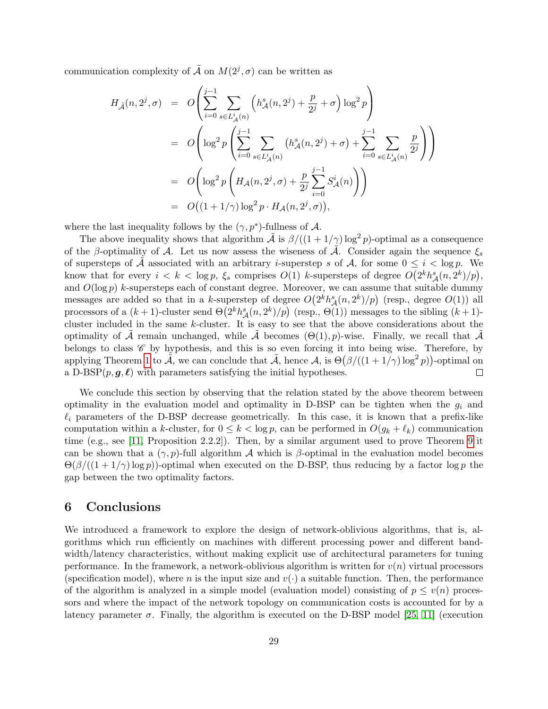communication complexity of  $\tilde{A}$  on  $M(2^j, \sigma)$  can be written as

$$
H_{\tilde{\mathcal{A}}}(n, 2^{j}, \sigma) = O\left(\sum_{i=0}^{j-1} \sum_{s \in L_{\mathcal{A}}^{i}(n)} \left( h_{\mathcal{A}}^{s}(n, 2^{j}) + \frac{p}{2^{j}} + \sigma \right) \log^{2} p \right)
$$
  
\n
$$
= O\left(\log^{2} p \left( \sum_{i=0}^{j-1} \sum_{s \in L_{\mathcal{A}}^{i}(n)} \left( h_{\mathcal{A}}^{s}(n, 2^{j}) + \sigma \right) + \sum_{i=0}^{j-1} \sum_{s \in L_{\mathcal{A}}^{i}(n)} \frac{p}{2^{j}} \right) \right)
$$
  
\n
$$
= O\left(\log^{2} p \left( H_{\mathcal{A}}(n, 2^{j}, \sigma) + \frac{p}{2^{j}} \sum_{i=0}^{j-1} S_{\mathcal{A}}^{i}(n) \right) \right)
$$
  
\n
$$
= O\left((1 + 1/\gamma) \log^{2} p \cdot H_{\mathcal{A}}(n, 2^{j}, \sigma) \right),
$$

where the last inequality follows by the  $(\gamma, p^*)$ -fullness of A.

The above inequality shows that algorithm  $\tilde{A}$  is  $\beta/((1+1/\gamma)\log^2 p)$ -optimal as a consequence of the β-optimality of A. Let us now assess the wiseness of A. Consider again the sequence  $\xi_s$ of supersteps of  $\mathcal A$  associated with an arbitrary *i*-superstep s of  $\mathcal A$ , for some  $0 \leq i < \log p$ . We know that for every  $i < k < \log p$ ,  $\xi_s$  comprises  $O(1)$  k-supersteps of degree  $O(2^k h^s_{\mathcal{A}}(n, 2^k)/p)$ , and  $O(\log p)$  k-supersteps each of constant degree. Moreover, we can assume that suitable dummy messages are added so that in a k-superstep of degree  $O(2^k h^s_{\mathcal{A}}(n, 2^k)/p)$  (resp., degree  $O(1)$ ) all processors of a  $(k+1)$ -cluster send  $\Theta(2^k h^s_{\mathcal{A}}(n, 2^k)/p)$  (resp.,  $\Theta(1)$ ) messages to the sibling  $(k+1)$ cluster included in the same  $k$ -cluster. It is easy to see that the above considerations about the optimality of A remain unchanged, while A becomes  $(\Theta(1), p)$ -wise. Finally, we recall that A belongs to class  $\mathscr C$  by hypothesis, and this is so even forcing it into being wise. Therefore, by applying Theorem [1](#page-8-2) to  $\tilde{A}$ , we can conclude that  $\tilde{A}$ , hence  $A$ , is  $\Theta(\beta/((1+1/\gamma)\log^2 p))$ -optimal on a D-BSP $(p, g, \ell)$  with parameters satisfying the initial hypotheses.  $\Box$ 

We conclude this section by observing that the relation stated by the above theorem between optimality in the evaluation model and optimality in D-BSP can be tighten when the  $q_i$  and  $\ell_i$  parameters of the D-BSP decrease geometrically. In this case, it is known that a prefix-like computation within a k-cluster, for  $0 \leq k < \log p$ , can be performed in  $O(g_k + \ell_k)$  communication time (e.g., see [\[11,](#page-30-4) Proposition 2.2.2]). Then, by a similar argument used to prove Theorem [9](#page-27-0) it can be shown that a  $(\gamma, p)$ -full algorithm A which is  $\beta$ -optimal in the evaluation model becomes  $\Theta(\beta/((1+1/\gamma)\log p))$ -optimal when executed on the D-BSP, thus reducing by a factor log p the gap between the two optimality factors.

### <span id="page-28-0"></span>6 Conclusions

We introduced a framework to explore the design of network-oblivious algorithms, that is, algorithms which run efficiently on machines with different processing power and different bandwidth/latency characteristics, without making explicit use of architectural parameters for tuning performance. In the framework, a network-oblivious algorithm is written for  $v(n)$  virtual processors (specification model), where n is the input size and  $v(\cdot)$  a suitable function. Then, the performance of the algorithm is analyzed in a simple model (evaluation model) consisting of  $p \le v(n)$  processors and where the impact of the network topology on communication costs is accounted for by a latency parameter  $\sigma$ . Finally, the algorithm is executed on the D-BSP model [\[25,](#page-31-3) [11\]](#page-30-4) (execution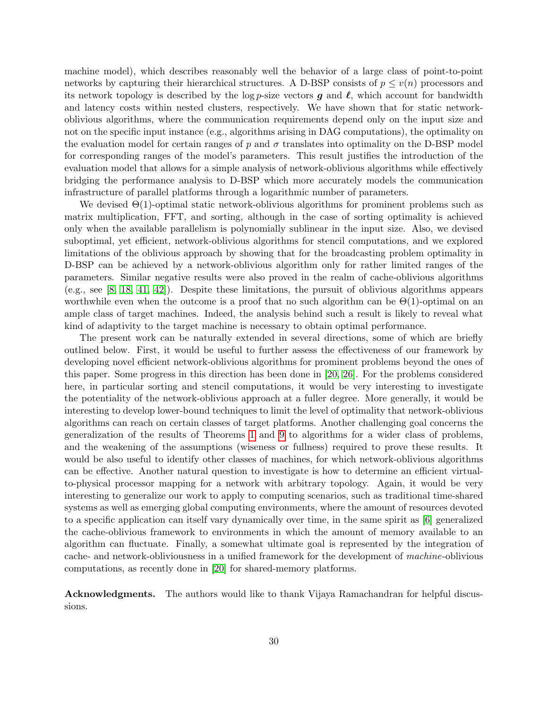machine model), which describes reasonably well the behavior of a large class of point-to-point networks by capturing their hierarchical structures. A D-BSP consists of  $p \leq v(n)$  processors and its network topology is described by the log p-size vectors  $g$  and  $\ell$ , which account for bandwidth and latency costs within nested clusters, respectively. We have shown that for static networkoblivious algorithms, where the communication requirements depend only on the input size and not on the specific input instance (e.g., algorithms arising in DAG computations), the optimality on the evaluation model for certain ranges of p and  $\sigma$  translates into optimality on the D-BSP model for corresponding ranges of the model's parameters. This result justifies the introduction of the evaluation model that allows for a simple analysis of network-oblivious algorithms while effectively bridging the performance analysis to D-BSP which more accurately models the communication infrastructure of parallel platforms through a logarithmic number of parameters.

We devised Θ(1)-optimal static network-oblivious algorithms for prominent problems such as matrix multiplication, FFT, and sorting, although in the case of sorting optimality is achieved only when the available parallelism is polynomially sublinear in the input size. Also, we devised suboptimal, yet efficient, network-oblivious algorithms for stencil computations, and we explored limitations of the oblivious approach by showing that for the broadcasting problem optimality in D-BSP can be achieved by a network-oblivious algorithm only for rather limited ranges of the parameters. Similar negative results were also proved in the realm of cache-oblivious algorithms (e.g., see [\[8,](#page-30-11) [18,](#page-31-11) [41,](#page-32-14) [42\]](#page-32-15)). Despite these limitations, the pursuit of oblivious algorithms appears worthwhile even when the outcome is a proof that no such algorithm can be  $\Theta(1)$ -optimal on an ample class of target machines. Indeed, the analysis behind such a result is likely to reveal what kind of adaptivity to the target machine is necessary to obtain optimal performance.

The present work can be naturally extended in several directions, some of which are briefly outlined below. First, it would be useful to further assess the effectiveness of our framework by developing novel efficient network-oblivious algorithms for prominent problems beyond the ones of this paper. Some progress in this direction has been done in [\[20,](#page-31-5) [26\]](#page-31-12). For the problems considered here, in particular sorting and stencil computations, it would be very interesting to investigate the potentiality of the network-oblivious approach at a fuller degree. More generally, it would be interesting to develop lower-bound techniques to limit the level of optimality that network-oblivious algorithms can reach on certain classes of target platforms. Another challenging goal concerns the generalization of the results of Theorems [1](#page-8-2) and [9](#page-27-0) to algorithms for a wider class of problems, and the weakening of the assumptions (wiseness or fullness) required to prove these results. It would be also useful to identify other classes of machines, for which network-oblivious algorithms can be effective. Another natural question to investigate is how to determine an efficient virtualto-physical processor mapping for a network with arbitrary topology. Again, it would be very interesting to generalize our work to apply to computing scenarios, such as traditional time-shared systems as well as emerging global computing environments, where the amount of resources devoted to a specific application can itself vary dynamically over time, in the same spirit as [\[6\]](#page-30-12) generalized the cache-oblivious framework to environments in which the amount of memory available to an algorithm can fluctuate. Finally, a somewhat ultimate goal is represented by the integration of cache- and network-obliviousness in a unified framework for the development of machine-oblivious computations, as recently done in [\[20\]](#page-31-5) for shared-memory platforms.

Acknowledgments. The authors would like to thank Vijaya Ramachandran for helpful discussions.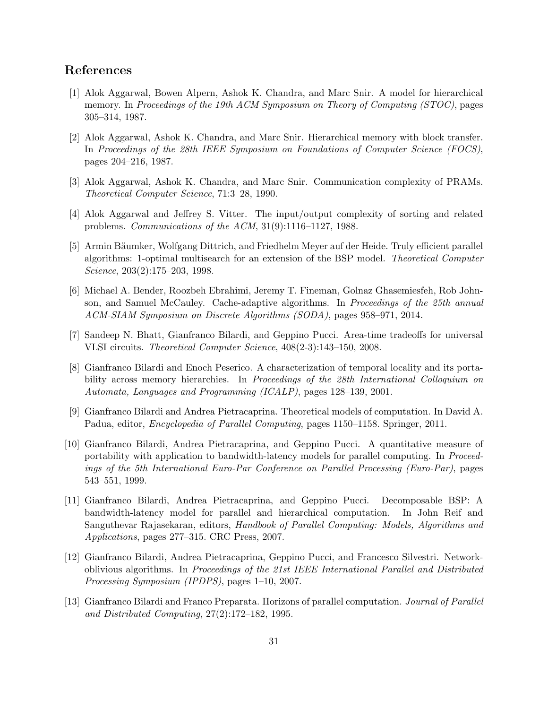# References

- <span id="page-30-8"></span>[1] Alok Aggarwal, Bowen Alpern, Ashok K. Chandra, and Marc Snir. A model for hierarchical memory. In Proceedings of the 19th ACM Symposium on Theory of Computing (STOC), pages 305–314, 1987.
- <span id="page-30-10"></span>[2] Alok Aggarwal, Ashok K. Chandra, and Marc Snir. Hierarchical memory with block transfer. In Proceedings of the 28th IEEE Symposium on Foundations of Computer Science (FOCS), pages 204–216, 1987.
- <span id="page-30-3"></span>[3] Alok Aggarwal, Ashok K. Chandra, and Marc Snir. Communication complexity of PRAMs. Theoretical Computer Science, 71:3–28, 1990.
- <span id="page-30-9"></span>[4] Alok Aggarwal and Jeffrey S. Vitter. The input/output complexity of sorting and related problems. Communications of the ACM, 31(9):1116–1127, 1988.
- <span id="page-30-5"></span>[5] Armin Bäumker, Wolfgang Dittrich, and Friedhelm Meyer auf der Heide. Truly efficient parallel algorithms: 1-optimal multisearch for an extension of the BSP model. Theoretical Computer Science, 203(2):175–203, 1998.
- <span id="page-30-12"></span>[6] Michael A. Bender, Roozbeh Ebrahimi, Jeremy T. Fineman, Golnaz Ghasemiesfeh, Rob Johnson, and Samuel McCauley. Cache-adaptive algorithms. In Proceedings of the 25th annual ACM-SIAM Symposium on Discrete Algorithms (SODA), pages 958–971, 2014.
- <span id="page-30-1"></span>[7] Sandeep N. Bhatt, Gianfranco Bilardi, and Geppino Pucci. Area-time tradeoffs for universal VLSI circuits. Theoretical Computer Science, 408(2-3):143–150, 2008.
- <span id="page-30-11"></span>[8] Gianfranco Bilardi and Enoch Peserico. A characterization of temporal locality and its portability across memory hierarchies. In Proceedings of the 28th International Colloquium on Automata, Languages and Programming (ICALP), pages 128–139, 2001.
- <span id="page-30-2"></span>[9] Gianfranco Bilardi and Andrea Pietracaprina. Theoretical models of computation. In David A. Padua, editor, Encyclopedia of Parallel Computing, pages 1150–1158. Springer, 2011.
- <span id="page-30-6"></span>[10] Gianfranco Bilardi, Andrea Pietracaprina, and Geppino Pucci. A quantitative measure of portability with application to bandwidth-latency models for parallel computing. In Proceedings of the 5th International Euro-Par Conference on Parallel Processing (Euro-Par), pages 543–551, 1999.
- <span id="page-30-4"></span>[11] Gianfranco Bilardi, Andrea Pietracaprina, and Geppino Pucci. Decomposable BSP: A bandwidth-latency model for parallel and hierarchical computation. In John Reif and Sanguthevar Rajasekaran, editors, Handbook of Parallel Computing: Models, Algorithms and Applications, pages 277–315. CRC Press, 2007.
- <span id="page-30-7"></span>[12] Gianfranco Bilardi, Andrea Pietracaprina, Geppino Pucci, and Francesco Silvestri. Networkoblivious algorithms. In Proceedings of the 21st IEEE International Parallel and Distributed Processing Symposium (IPDPS), pages 1–10, 2007.
- <span id="page-30-0"></span>[13] Gianfranco Bilardi and Franco Preparata. Horizons of parallel computation. Journal of Parallel and Distributed Computing, 27(2):172–182, 1995.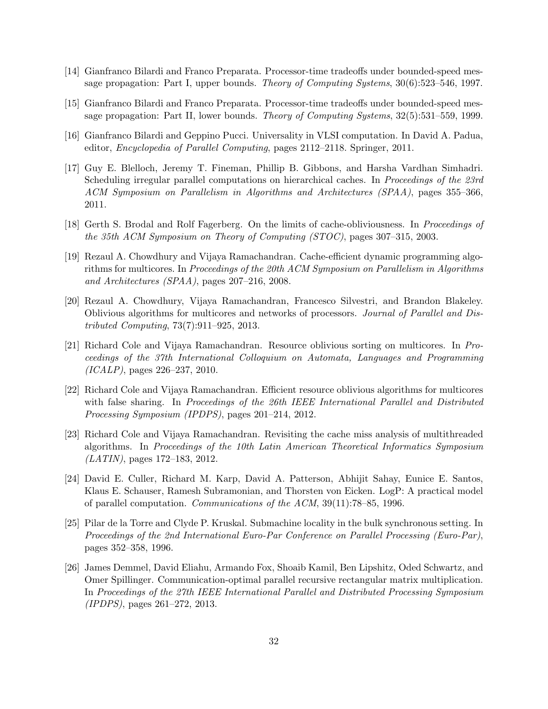- <span id="page-31-0"></span>[14] Gianfranco Bilardi and Franco Preparata. Processor-time tradeoffs under bounded-speed message propagation: Part I, upper bounds. Theory of Computing Systems, 30(6):523–546, 1997.
- <span id="page-31-1"></span>[15] Gianfranco Bilardi and Franco Preparata. Processor-time tradeoffs under bounded-speed message propagation: Part II, lower bounds. Theory of Computing Systems, 32(5):531–559, 1999.
- <span id="page-31-2"></span>[16] Gianfranco Bilardi and Geppino Pucci. Universality in VLSI computation. In David A. Padua, editor, Encyclopedia of Parallel Computing, pages 2112–2118. Springer, 2011.
- <span id="page-31-9"></span>[17] Guy E. Blelloch, Jeremy T. Fineman, Phillip B. Gibbons, and Harsha Vardhan Simhadri. Scheduling irregular parallel computations on hierarchical caches. In *Proceedings of the 23rd* ACM Symposium on Parallelism in Algorithms and Architectures (SPAA), pages 355–366, 2011.
- <span id="page-31-11"></span>[18] Gerth S. Brodal and Rolf Fagerberg. On the limits of cache-obliviousness. In Proceedings of the 35th ACM Symposium on Theory of Computing (STOC), pages 307–315, 2003.
- <span id="page-31-10"></span>[19] Rezaul A. Chowdhury and Vijaya Ramachandran. Cache-efficient dynamic programming algorithms for multicores. In Proceedings of the 20th ACM Symposium on Parallelism in Algorithms and Architectures (SPAA), pages 207–216, 2008.
- <span id="page-31-5"></span>[20] Rezaul A. Chowdhury, Vijaya Ramachandran, Francesco Silvestri, and Brandon Blakeley. Oblivious algorithms for multicores and networks of processors. Journal of Parallel and Distributed Computing, 73(7):911–925, 2013.
- <span id="page-31-6"></span>[21] Richard Cole and Vijaya Ramachandran. Resource oblivious sorting on multicores. In Proceedings of the 37th International Colloquium on Automata, Languages and Programming (ICALP), pages 226–237, 2010.
- <span id="page-31-7"></span>[22] Richard Cole and Vijaya Ramachandran. Efficient resource oblivious algorithms for multicores with false sharing. In Proceedings of the 26th IEEE International Parallel and Distributed Processing Symposium (IPDPS), pages 201–214, 2012.
- <span id="page-31-8"></span>[23] Richard Cole and Vijaya Ramachandran. Revisiting the cache miss analysis of multithreaded algorithms. In Proceedings of the 10th Latin American Theoretical Informatics Symposium (LATIN), pages 172–183, 2012.
- <span id="page-31-4"></span>[24] David E. Culler, Richard M. Karp, David A. Patterson, Abhijit Sahay, Eunice E. Santos, Klaus E. Schauser, Ramesh Subramonian, and Thorsten von Eicken. LogP: A practical model of parallel computation. Communications of the ACM, 39(11):78–85, 1996.
- <span id="page-31-3"></span>[25] Pilar de la Torre and Clyde P. Kruskal. Submachine locality in the bulk synchronous setting. In Proceedings of the 2nd International Euro-Par Conference on Parallel Processing (Euro-Par), pages 352–358, 1996.
- <span id="page-31-12"></span>[26] James Demmel, David Eliahu, Armando Fox, Shoaib Kamil, Ben Lipshitz, Oded Schwartz, and Omer Spillinger. Communication-optimal parallel recursive rectangular matrix multiplication. In Proceedings of the 27th IEEE International Parallel and Distributed Processing Symposium (IPDPS), pages 261–272, 2013.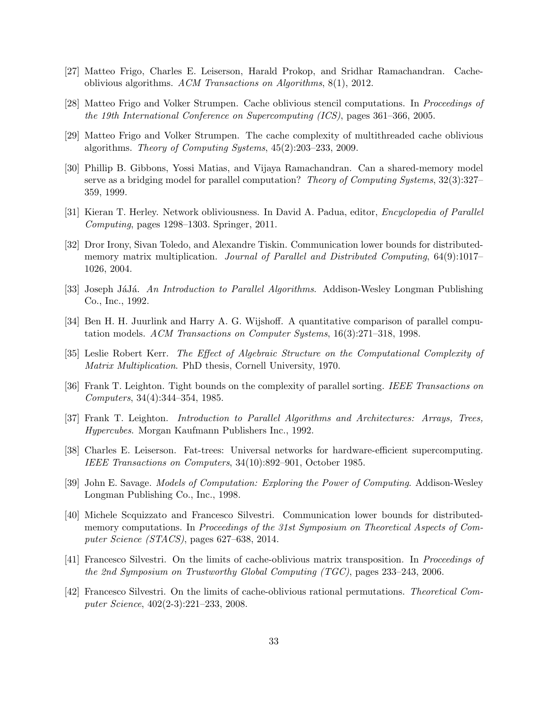- <span id="page-32-3"></span>[27] Matteo Frigo, Charles E. Leiserson, Harald Prokop, and Sridhar Ramachandran. Cacheoblivious algorithms. ACM Transactions on Algorithms, 8(1), 2012.
- <span id="page-32-11"></span>[28] Matteo Frigo and Volker Strumpen. Cache oblivious stencil computations. In Proceedings of the 19th International Conference on Supercomputing (ICS), pages 361–366, 2005.
- <span id="page-32-12"></span>[29] Matteo Frigo and Volker Strumpen. The cache complexity of multithreaded cache oblivious algorithms. Theory of Computing Systems, 45(2):203–233, 2009.
- <span id="page-32-2"></span>[30] Phillip B. Gibbons, Yossi Matias, and Vijaya Ramachandran. Can a shared-memory model serve as a bridging model for parallel computation? Theory of Computing Systems, 32(3):327– 359, 1999.
- <span id="page-32-4"></span>[31] Kieran T. Herley. Network obliviousness. In David A. Padua, editor, Encyclopedia of Parallel Computing, pages 1298–1303. Springer, 2011.
- <span id="page-32-8"></span>[32] Dror Irony, Sivan Toledo, and Alexandre Tiskin. Communication lower bounds for distributedmemory matrix multiplication. *Journal of Parallel and Distributed Computing*, 64(9):1017– 1026, 2004.
- <span id="page-32-13"></span>[33] Joseph JáJá. An Introduction to Parallel Algorithms. Addison-Wesley Longman Publishing Co., Inc., 1992.
- <span id="page-32-1"></span>[34] Ben H. H. Juurlink and Harry A. G. Wijshoff. A quantitative comparison of parallel computation models. ACM Transactions on Computer Systems, 16(3):271–318, 1998.
- <span id="page-32-7"></span>[35] Leslie Robert Kerr. The Effect of Algebraic Structure on the Computational Complexity of Matrix Multiplication. PhD thesis, Cornell University, 1970.
- <span id="page-32-10"></span>[36] Frank T. Leighton. Tight bounds on the complexity of parallel sorting. IEEE Transactions on Computers, 34(4):344–354, 1985.
- <span id="page-32-9"></span>[37] Frank T. Leighton. Introduction to Parallel Algorithms and Architectures: Arrays, Trees, Hypercubes. Morgan Kaufmann Publishers Inc., 1992.
- <span id="page-32-0"></span>[38] Charles E. Leiserson. Fat-trees: Universal networks for hardware-efficient supercomputing. IEEE Transactions on Computers, 34(10):892–901, October 1985.
- <span id="page-32-5"></span>[39] John E. Savage. Models of Computation: Exploring the Power of Computing. Addison-Wesley Longman Publishing Co., Inc., 1998.
- <span id="page-32-6"></span>[40] Michele Scquizzato and Francesco Silvestri. Communication lower bounds for distributedmemory computations. In Proceedings of the 31st Symposium on Theoretical Aspects of Computer Science (STACS), pages 627–638, 2014.
- <span id="page-32-14"></span>[41] Francesco Silvestri. On the limits of cache-oblivious matrix transposition. In Proceedings of the 2nd Symposium on Trustworthy Global Computing (TGC), pages 233–243, 2006.
- <span id="page-32-15"></span>[42] Francesco Silvestri. On the limits of cache-oblivious rational permutations. Theoretical Computer Science, 402(2-3):221–233, 2008.